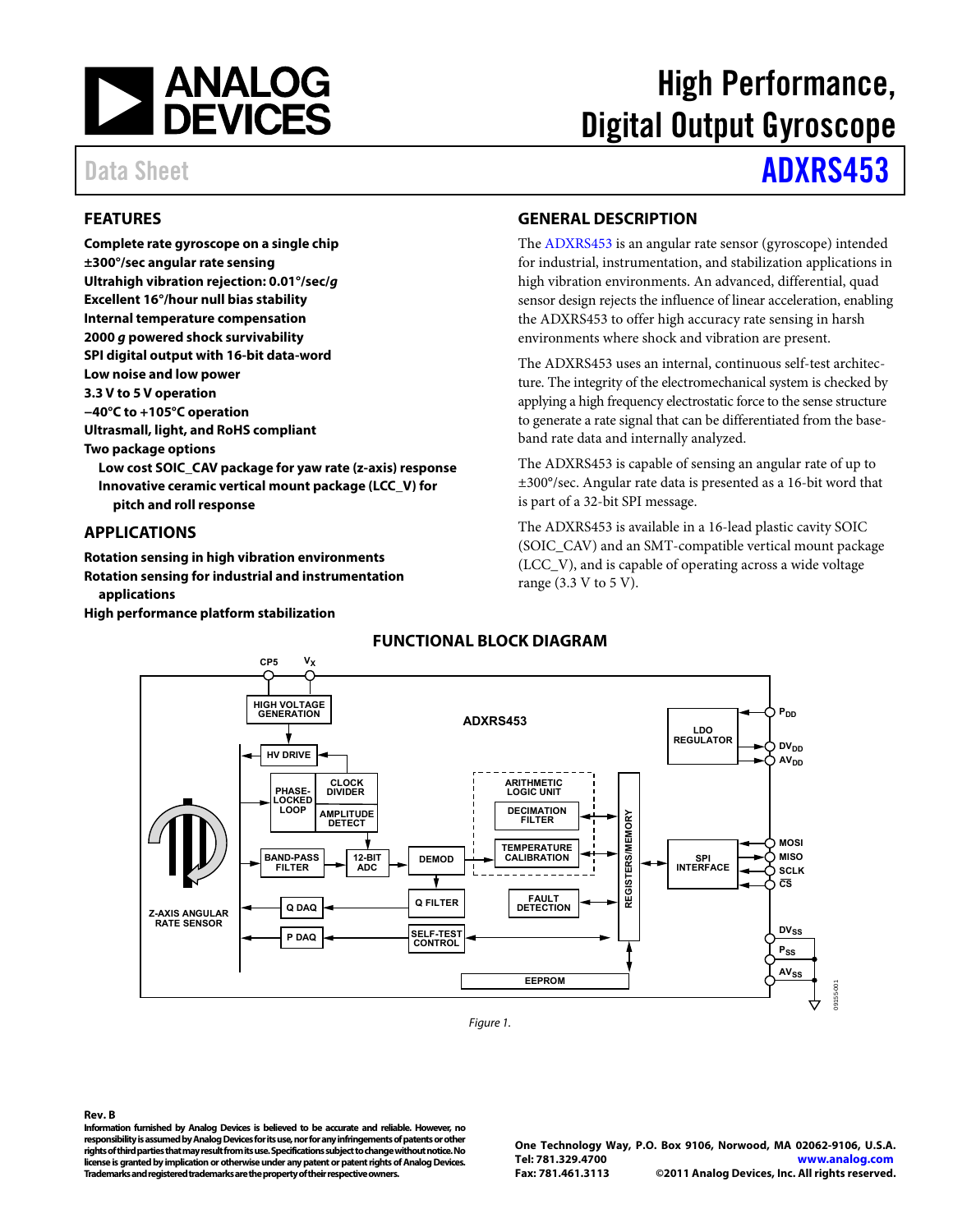

#### <span id="page-0-0"></span>**FEATURES**

**Complete rate gyroscope on a single chip ±300°/sec angular rate sensing Ultrahigh vibration rejection: 0.01°/sec/g Excellent 16°/hour null bias stability Internal temperature compensation 2000 g powered shock survivability SPI digital output with 16-bit data-word Low noise and low power 3.3 V to 5 V operation −40°C to +105°C operation Ultrasmall, light, and RoHS compliant Two package options Low cost SOIC\_CAV package for yaw rate (z-axis) response Innovative ceramic vertical mount package (LCC\_V) for pitch and roll response** 

#### <span id="page-0-1"></span>**APPLICATIONS**

**Rotation sensing in high vibration environments Rotation sensing for industrial and instrumentation applications** 

<span id="page-0-3"></span>**High performance platform stabilization** 

# High Performance, Digital Output Gyroscope

# Data Sheet **[ADXRS453](http://www.analog.com/adxrs453)**

#### <span id="page-0-2"></span>**GENERAL DESCRIPTION**

The [ADXRS453 i](http://www.analog.com/ADXRS453)s an angular rate sensor (gyroscope) intended for industrial, instrumentation, and stabilization applications in high vibration environments. An advanced, differential, quad sensor design rejects the influence of linear acceleration, enabling the ADXRS453 to offer high accuracy rate sensing in harsh environments where shock and vibration are present.

The ADXRS453 uses an internal, continuous self-test architecture. The integrity of the electromechanical system is checked by applying a high frequency electrostatic force to the sense structure to generate a rate signal that can be differentiated from the baseband rate data and internally analyzed.

The ADXRS453 is capable of sensing an angular rate of up to ±300°/sec. Angular rate data is presented as a 16-bit word that is part of a 32-bit SPI message.

The ADXRS453 is available in a 16-lead plastic cavity SOIC (SOIC\_CAV) and an SMT-compatible vertical mount package (LCC\_V), and is capable of operating across a wide voltage range (3.3 V to 5 V).



Figure 1.

#### **Rev. B**

**Information furnished by Analog Devices is believed to be accurate and reliable. However, no responsibility is assumed by Analog Devices for its use, nor for any infringements of patents or other rights of third parties that may result from its use. Specifications subject to change without notice. No license is granted by implication or otherwise under any patent or patent rights of Analog Devices. Trademarks and registered trademarks are the property of their respective owners.**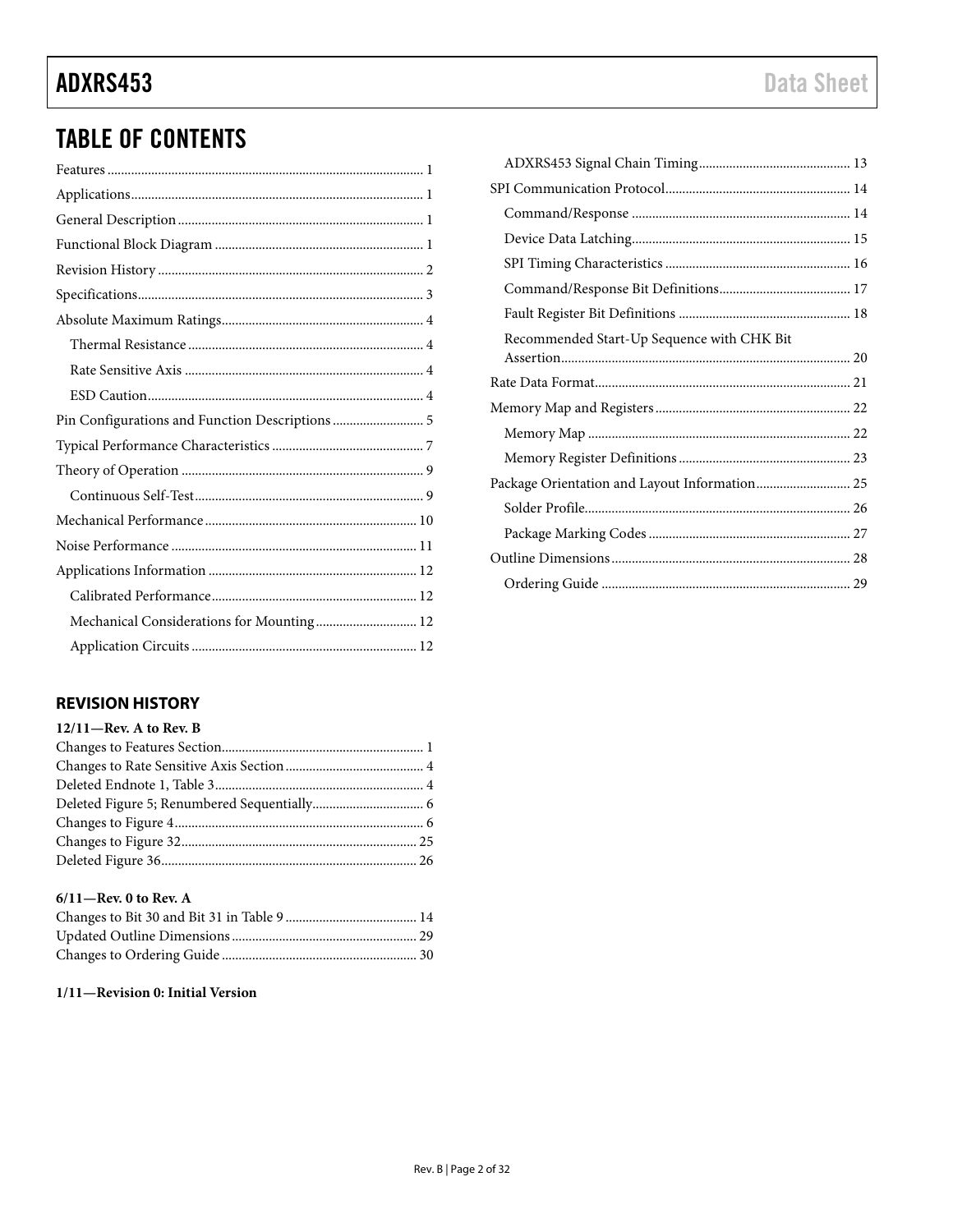### **TABLE OF CONTENTS**

| Pin Configurations and Function Descriptions  5 |
|-------------------------------------------------|
|                                                 |
|                                                 |
|                                                 |
|                                                 |
|                                                 |
|                                                 |
|                                                 |
| Mechanical Considerations for Mounting 12       |
|                                                 |

#### <span id="page-1-0"></span>**REVISION HISTORY**

| $12/11$ —Rev. A to Rev. B |  |
|---------------------------|--|
|                           |  |
|                           |  |
|                           |  |
|                           |  |
|                           |  |
|                           |  |
|                           |  |
|                           |  |

#### $6/11$ -Rev. 0 to Rev. A

#### 1/11-Revision 0: Initial Version

| Recommended Start-Up Sequence with CHK Bit    |  |
|-----------------------------------------------|--|
|                                               |  |
|                                               |  |
|                                               |  |
|                                               |  |
|                                               |  |
| Package Orientation and Layout Information 25 |  |
|                                               |  |
|                                               |  |
|                                               |  |
|                                               |  |
|                                               |  |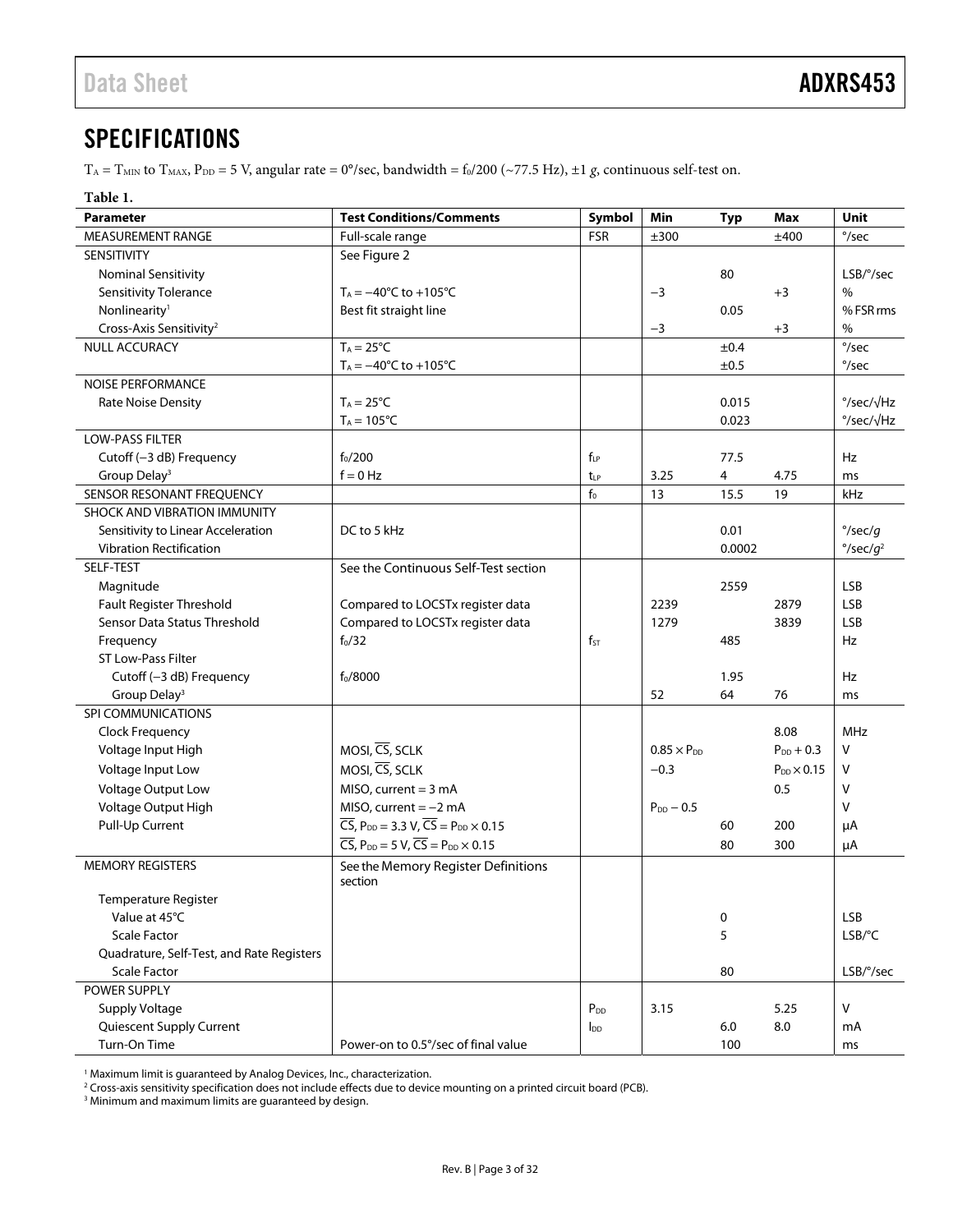### <span id="page-2-0"></span>SPECIFICATIONS

 $T_A = T_{MIN}$  to  $T_{MAX}$ ,  $P_{DD} = 5$  V, angular rate = 0°/sec, bandwidth =  $f_0/200$  (~77.5 Hz), ±1 *g*, continuous self-test on.

<span id="page-2-1"></span>

| יי<br>л<br>٠<br>۹<br>۹ |  |
|------------------------|--|
|                        |  |

| <b>Parameter</b>                          | <b>Test Conditions/Comments</b>                                                          | Symbol          | Min                  | <b>Typ</b> | Max                    | <b>Unit</b>                   |
|-------------------------------------------|------------------------------------------------------------------------------------------|-----------------|----------------------|------------|------------------------|-------------------------------|
| MEASUREMENT RANGE                         | Full-scale range                                                                         | <b>FSR</b>      | ±300                 |            | ±400                   | $\degree$ /sec                |
| SENSITIVITY                               | See Figure 2                                                                             |                 |                      |            |                        |                               |
| <b>Nominal Sensitivity</b>                |                                                                                          |                 |                      | 80         |                        | LSB/°/sec                     |
| Sensitivity Tolerance                     | $T_A = -40^{\circ}C$ to $+105^{\circ}C$                                                  |                 | $-3$                 |            | $+3$                   | $\%$                          |
| Nonlinearity <sup>1</sup>                 | Best fit straight line                                                                   |                 |                      | 0.05       |                        | % FSR rms                     |
| Cross-Axis Sensitivity <sup>2</sup>       |                                                                                          |                 | $-3$                 |            | $+3$                   | %                             |
| <b>NULL ACCURACY</b>                      | $T_A = 25^{\circ}C$                                                                      |                 |                      | ±0.4       |                        | $^{\circ}/sec$                |
|                                           | $T_A = -40^{\circ}C$ to $+105^{\circ}C$                                                  |                 |                      | ±0.5       |                        | $\degree$ /sec                |
| <b>NOISE PERFORMANCE</b>                  |                                                                                          |                 |                      |            |                        |                               |
| <b>Rate Noise Density</b>                 | $T_A = 25^{\circ}C$                                                                      |                 |                      | 0.015      |                        | $\degree$ /sec/ $\sqrt{Hz}$   |
|                                           | $T_A = 105^{\circ}C$                                                                     |                 |                      | 0.023      |                        | $\degree$ /sec/ $\sqrt{Hz}$   |
| <b>LOW-PASS FILTER</b>                    |                                                                                          |                 |                      |            |                        |                               |
| Cutoff (-3 dB) Frequency                  | $f_0/200$                                                                                | $f_{LP}$        |                      | 77.5       |                        | Hz                            |
| Group Delay <sup>3</sup>                  | $f = 0$ Hz                                                                               | $t_{LP}$        | 3.25                 | 4          | 4.75                   | ms                            |
| SENSOR RESONANT FREQUENCY                 |                                                                                          | $\mathsf{f}_0$  | 13                   | 15.5       | 19                     | kHz                           |
| <b>SHOCK AND VIBRATION IMMUNITY</b>       |                                                                                          |                 |                      |            |                        |                               |
| Sensitivity to Linear Acceleration        | DC to 5 kHz                                                                              |                 |                      | 0.01       |                        | $\degree$ /sec/g              |
| <b>Vibration Rectification</b>            |                                                                                          |                 |                      | 0.0002     |                        | $\degree$ /sec/g <sup>2</sup> |
| SELF-TEST                                 | See the Continuous Self-Test section                                                     |                 |                      |            |                        |                               |
| Magnitude                                 |                                                                                          |                 |                      | 2559       |                        | <b>LSB</b>                    |
| Fault Register Threshold                  | Compared to LOCSTx register data                                                         |                 | 2239                 |            | 2879                   | <b>LSB</b>                    |
| Sensor Data Status Threshold              | Compared to LOCSTx register data                                                         |                 | 1279                 |            | 3839                   | <b>LSB</b>                    |
| Frequency                                 | $f_0/32$                                                                                 | $f_{ST}$        |                      | 485        |                        | Hz                            |
| ST Low-Pass Filter                        |                                                                                          |                 |                      |            |                        |                               |
| Cutoff (-3 dB) Frequency                  | $f_0/8000$                                                                               |                 |                      | 1.95       |                        | Hz                            |
| Group Delay <sup>3</sup>                  |                                                                                          |                 | 52                   | 64         | 76                     | ms                            |
| <b>SPI COMMUNICATIONS</b>                 |                                                                                          |                 |                      |            |                        |                               |
| Clock Frequency                           |                                                                                          |                 |                      |            | 8.08                   | MHz                           |
| Voltage Input High                        | MOSI, CS, SCLK                                                                           |                 | $0.85 \times P_{DD}$ |            | $P_{DD}$ + 0.3         | V                             |
| Voltage Input Low                         | MOSI, CS, SCLK                                                                           |                 | $-0.3$               |            | $P_{DD}$ $\times$ 0.15 | v                             |
| Voltage Output Low                        | $MISO$ , current = 3 mA                                                                  |                 |                      |            | 0.5                    | v                             |
| Voltage Output High                       | MISO, current $=-2$ mA                                                                   |                 | $P_{DD}$ - 0.5       |            |                        | v                             |
| Pull-Up Current                           | $\overline{CS}$ , P <sub>DD</sub> = 3.3 V, $\overline{CS}$ = P <sub>DD</sub> × 0.15      |                 |                      | 60         | 200                    | μA                            |
|                                           | $\overline{CS}$ , P <sub>DD</sub> = 5 V, $\overline{CS}$ = P <sub>DD</sub> $\times$ 0.15 |                 |                      | 80         | 300                    | μA                            |
| <b>MEMORY REGISTERS</b>                   | See the Memory Register Definitions                                                      |                 |                      |            |                        |                               |
|                                           | section                                                                                  |                 |                      |            |                        |                               |
| Temperature Register                      |                                                                                          |                 |                      |            |                        |                               |
| Value at 45°C                             |                                                                                          |                 |                      | 0          |                        | <b>LSB</b>                    |
| <b>Scale Factor</b>                       |                                                                                          |                 |                      | 5          |                        | LSB/°C                        |
| Quadrature, Self-Test, and Rate Registers |                                                                                          |                 |                      |            |                        |                               |
| <b>Scale Factor</b>                       |                                                                                          |                 |                      | 80         |                        | LSB/°/sec                     |
| POWER SUPPLY                              |                                                                                          |                 |                      |            |                        |                               |
| <b>Supply Voltage</b>                     |                                                                                          | P <sub>DD</sub> | 3.15                 |            | 5.25                   | $\mathsf{V}$                  |
| Quiescent Supply Current                  |                                                                                          | $I_{DD}$        |                      | 6.0        | 8.0                    | mA                            |
| Turn-On Time                              | Power-on to 0.5°/sec of final value                                                      |                 |                      | 100        |                        | ms                            |

<sup>1</sup> Maximum limit is guaranteed by Analog Devices, Inc., characterization.<br><sup>2</sup> Cross-axis sensitivity specification does not include effects due to devic

Cross-axis sensitivity specification does not include effects due to device mounting on a printed circuit board (PCB).

<sup>3</sup> Minimum and maximum limits are guaranteed by design.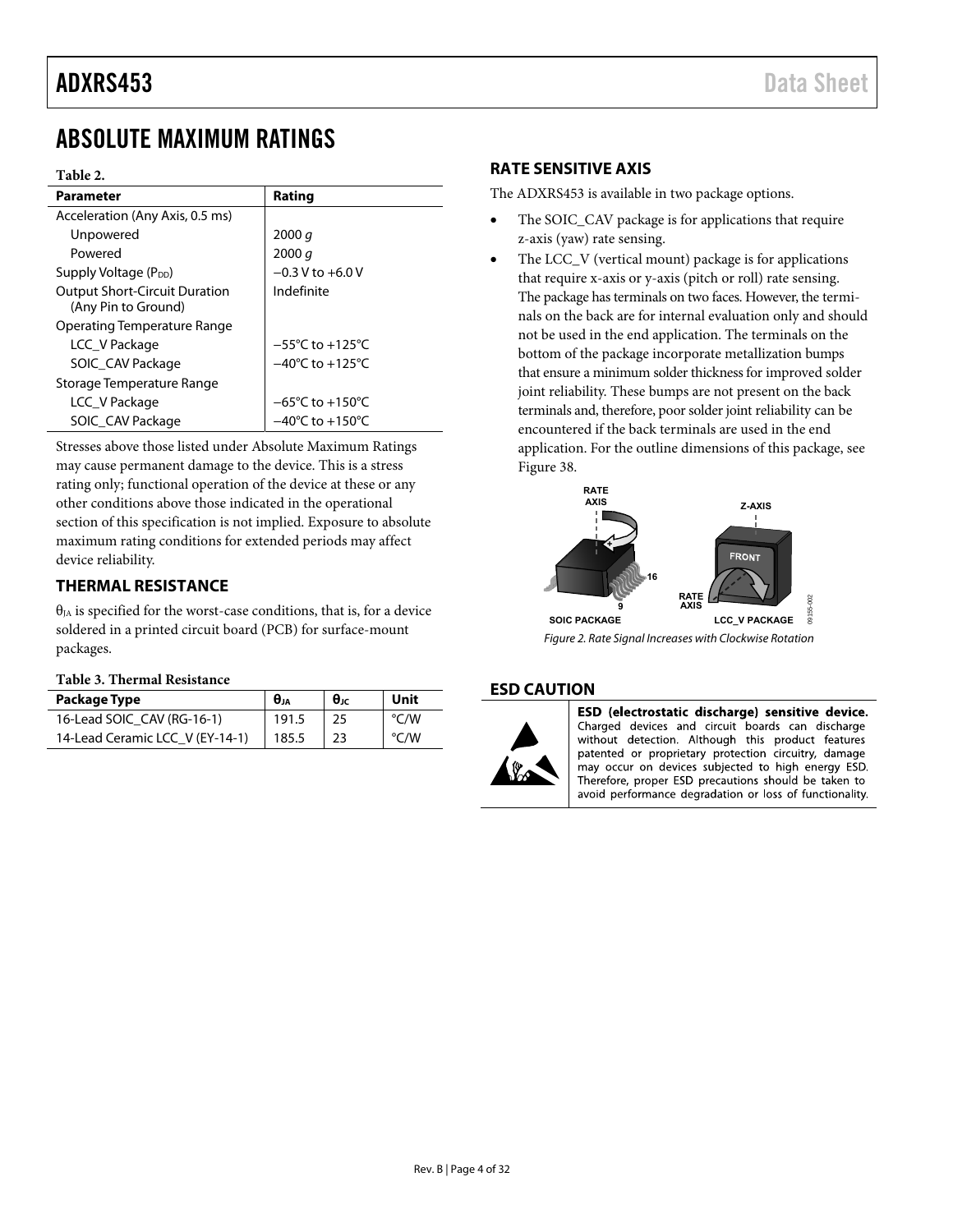### <span id="page-3-0"></span>ABSOLUTE MAXIMUM RATINGS

#### **Table 2.**

| Parameter                                                   | Rating                               |
|-------------------------------------------------------------|--------------------------------------|
| Acceleration (Any Axis, 0.5 ms)                             |                                      |
| Unpowered                                                   | 2000 q                               |
| Powered                                                     | 2000 $q$                             |
| Supply Voltage (P <sub>DD</sub> )                           | $-0.3$ V to $+6.0$ V                 |
| <b>Output Short-Circuit Duration</b><br>(Any Pin to Ground) | Indefinite                           |
| Operating Temperature Range                                 |                                      |
| LCC V Package                                               | $-55^{\circ}$ C to +125 $^{\circ}$ C |
| SOIC CAV Package                                            | $-40^{\circ}$ C to $+125^{\circ}$ C  |
| Storage Temperature Range                                   |                                      |
| LCC V Package                                               | $-65^{\circ}$ C to $+150^{\circ}$ C  |
| SOIC_CAV Package                                            | $-40^{\circ}$ C to $+150^{\circ}$ C  |

Stresses above those listed under Absolute Maximum Ratings may cause permanent damage to the device. This is a stress rating only; functional operation of the device at these or any other conditions above those indicated in the operational section of this specification is not implied. Exposure to absolute maximum rating conditions for extended periods may affect device reliability.

#### <span id="page-3-1"></span>**THERMAL RESISTANCE**

 $\theta_{JA}$  is specified for the worst-case conditions, that is, for a device soldered in a printed circuit board (PCB) for surface-mount packages.

#### **Table 3. Thermal Resistance**

<span id="page-3-7"></span><span id="page-3-6"></span><span id="page-3-5"></span>

| Package Type                    | Өл    | $\theta$ JC | Unit          |
|---------------------------------|-------|-------------|---------------|
| 16-Lead SOIC CAV (RG-16-1)      | 191.5 |             | $\degree$ C/W |
| 14-Lead Ceramic LCC V (EY-14-1) | 185.5 | 23          | $\degree$ C/W |

#### <span id="page-3-2"></span>**RATE SENSITIVE AXIS**

The ADXRS453 is available in two package options.

- The SOIC\_CAV package is for applications that require z-axis (yaw) rate sensing.
- The LCC<sub>V</sub> (vertical mount) package is for applications that require x-axis or y-axis (pitch or roll) rate sensing. The package has terminals on two faces. However, the terminals on the back are for internal evaluation only and should not be used in the end application. The terminals on the bottom of the package incorporate metallization bumps that ensure a minimum solder thickness for improved solder joint reliability. These bumps are not present on the back terminals and, therefore, poor solder joint reliability can be encountered if the back terminals are used in the end application. For the outline dimensions of this package, see [Figure 38.](#page-27-1)



<span id="page-3-4"></span>Figure 2. Rate Signal Increases with Clockwise Rotation

#### <span id="page-3-3"></span>**ESD CAUTION**



ESD (electrostatic discharge) sensitive device. Charged devices and circuit boards can discharge without detection. Although this product features patented or proprietary protection circuitry, damage may occur on devices subjected to high energy ESD. Therefore, proper ESD precautions should be taken to avoid performance degradation or loss of functionality.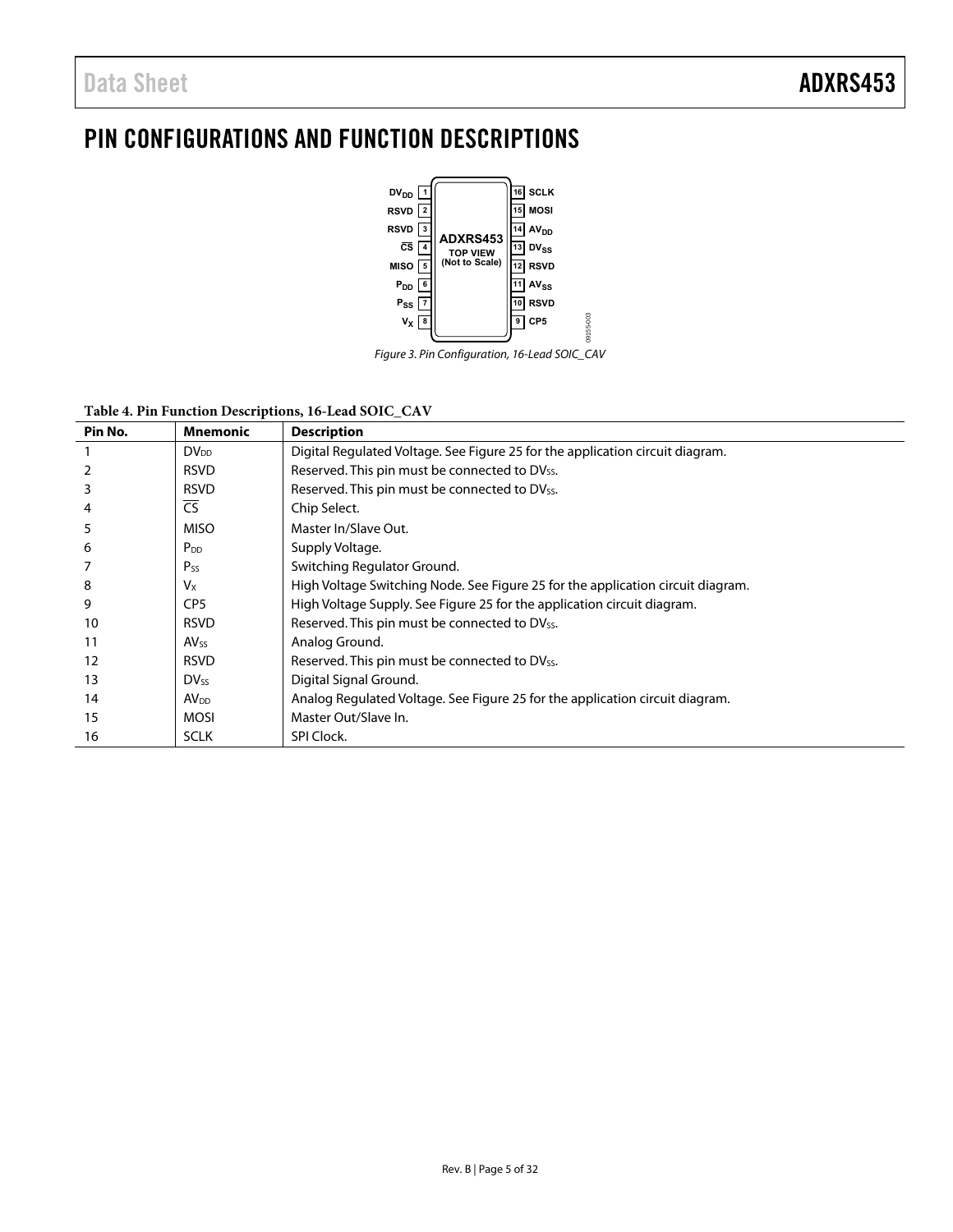### <span id="page-4-0"></span>PIN CONFIGURATIONS AND FUNCTION DESCRIPTIONS



Figure 3. Pin Configuration, 16-Lead SOIC\_CAV

09155-003

#### **Table 4. Pin Function Descriptions, 16-Lead SOIC\_CAV**

| Pin No. | Mnemonic               | <b>Description</b>                                                              |
|---------|------------------------|---------------------------------------------------------------------------------|
|         | $DV_{DD}$              | Digital Regulated Voltage. See Figure 25 for the application circuit diagram.   |
| 2       | <b>RSVD</b>            | Reserved. This pin must be connected to DVss.                                   |
| 3       | <b>RSVD</b>            | Reserved. This pin must be connected to DV <sub>SS</sub> .                      |
| 4       | $\overline{\text{CS}}$ | Chip Select.                                                                    |
| 5       | <b>MISO</b>            | Master In/Slave Out.                                                            |
| 6       | P <sub>DD</sub>        | Supply Voltage.                                                                 |
|         | $P_{SS}$               | Switching Regulator Ground.                                                     |
| 8       | Vx                     | High Voltage Switching Node. See Figure 25 for the application circuit diagram. |
| 9       | CP <sub>5</sub>        | High Voltage Supply. See Figure 25 for the application circuit diagram.         |
| 10      | <b>RSVD</b>            | Reserved. This pin must be connected to DV <sub>SS</sub> .                      |
| 11      | <b>AV<sub>SS</sub></b> | Analog Ground.                                                                  |
| 12      | <b>RSVD</b>            | Reserved. This pin must be connected to DV <sub>SS</sub> .                      |
| 13      | <b>DVss</b>            | Digital Signal Ground.                                                          |
| 14      | AV <sub>DD</sub>       | Analog Regulated Voltage. See Figure 25 for the application circuit diagram.    |
| 15      | <b>MOSI</b>            | Master Out/Slave In.                                                            |
| 16      | <b>SCLK</b>            | SPI Clock.                                                                      |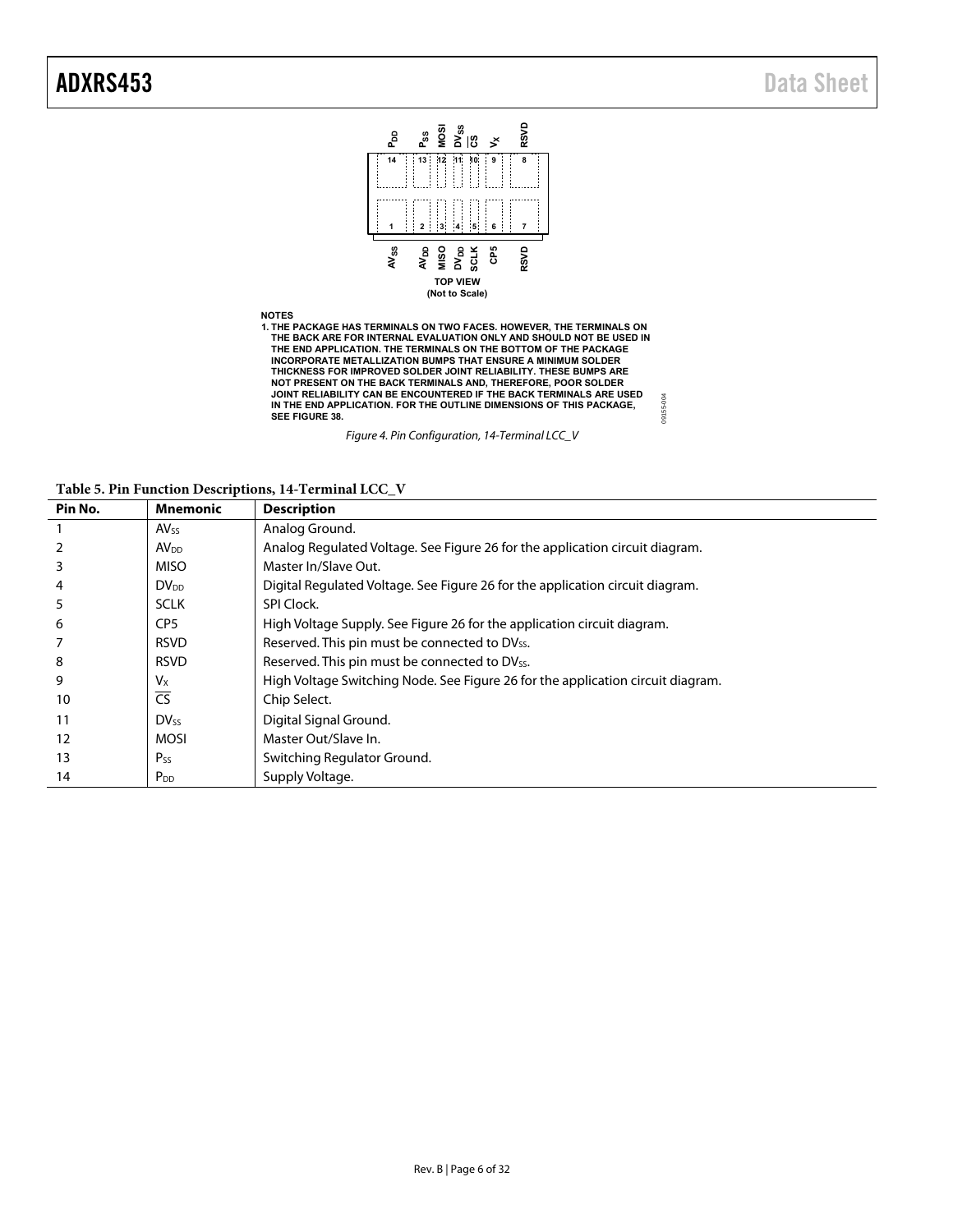

**Table 5. Pin Function Descriptions, 14-Terminal LCC\_V** 

| Pin No. | Mnemonic               | <b>Description</b>                                                              |
|---------|------------------------|---------------------------------------------------------------------------------|
|         | <b>AVss</b>            | Analog Ground.                                                                  |
| 2       | AV <sub>DD</sub>       | Analog Regulated Voltage. See Figure 26 for the application circuit diagram.    |
| 3       | <b>MISO</b>            | Master In/Slave Out.                                                            |
| 4       | $DV_{DD}$              | Digital Regulated Voltage. See Figure 26 for the application circuit diagram.   |
| 5       | <b>SCLK</b>            | SPI Clock.                                                                      |
| 6       | CP <sub>5</sub>        | High Voltage Supply. See Figure 26 for the application circuit diagram.         |
|         | <b>RSVD</b>            | Reserved. This pin must be connected to DV <sub>SS</sub> .                      |
| 8       | <b>RSVD</b>            | Reserved. This pin must be connected to DV <sub>SS</sub> .                      |
| 9       | Vx                     | High Voltage Switching Node. See Figure 26 for the application circuit diagram. |
| 10      | $\overline{\text{CS}}$ | Chip Select.                                                                    |
| 11      | <b>DVss</b>            | Digital Signal Ground.                                                          |
| 12      | <b>MOSI</b>            | Master Out/Slave In.                                                            |
| 13      | $P_{SS}$               | Switching Regulator Ground.                                                     |
| 14      | $P_{DD}$               | Supply Voltage.                                                                 |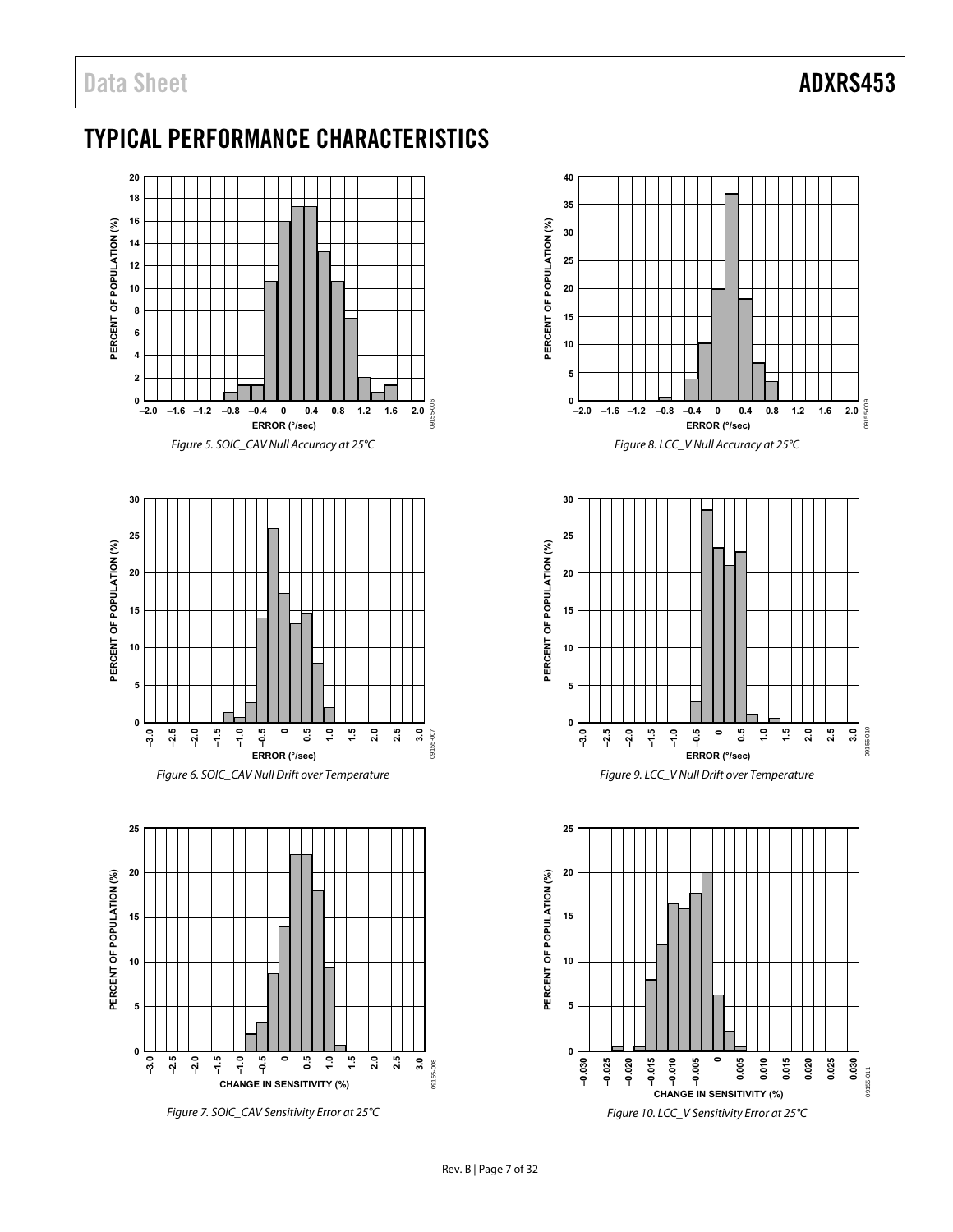### <span id="page-6-0"></span>TYPICAL PERFORMANCE CHARACTERISTICS



Figure 7. SOIC\_CAV Sensitivity Error at 25°C





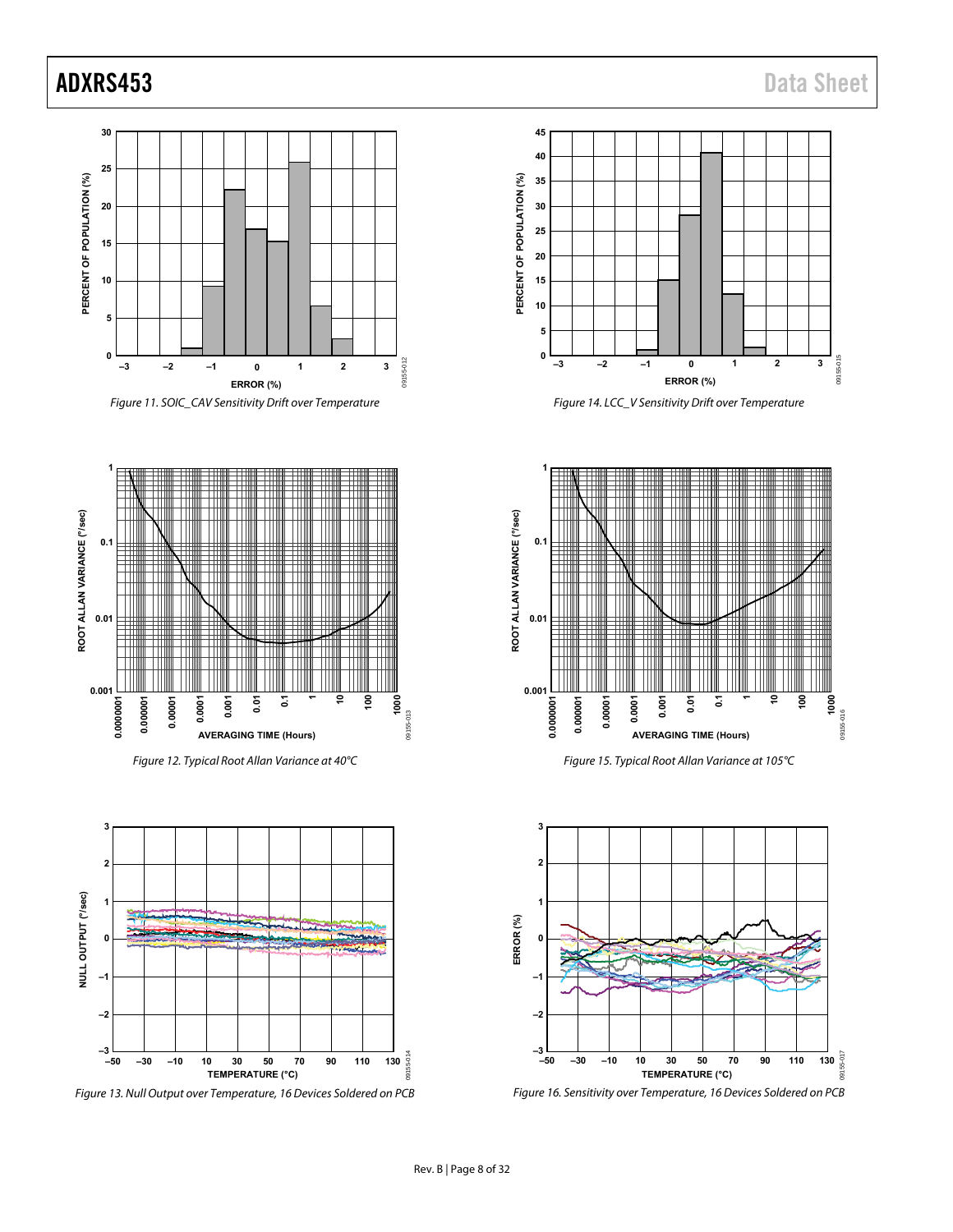### ADXRS453 Data Sheet





Figure 12. Typical Root Allan Variance at 40°C



Figure 13. Null Output over Temperature, 16 Devices Soldered on PCB



Figure 14. LCC\_V Sensitivity Drift over Temperature



Figure 15. Typical Root Allan Variance at 105°C



Figure 16. Sensitivity over Temperature, 16 Devices Soldered on PCB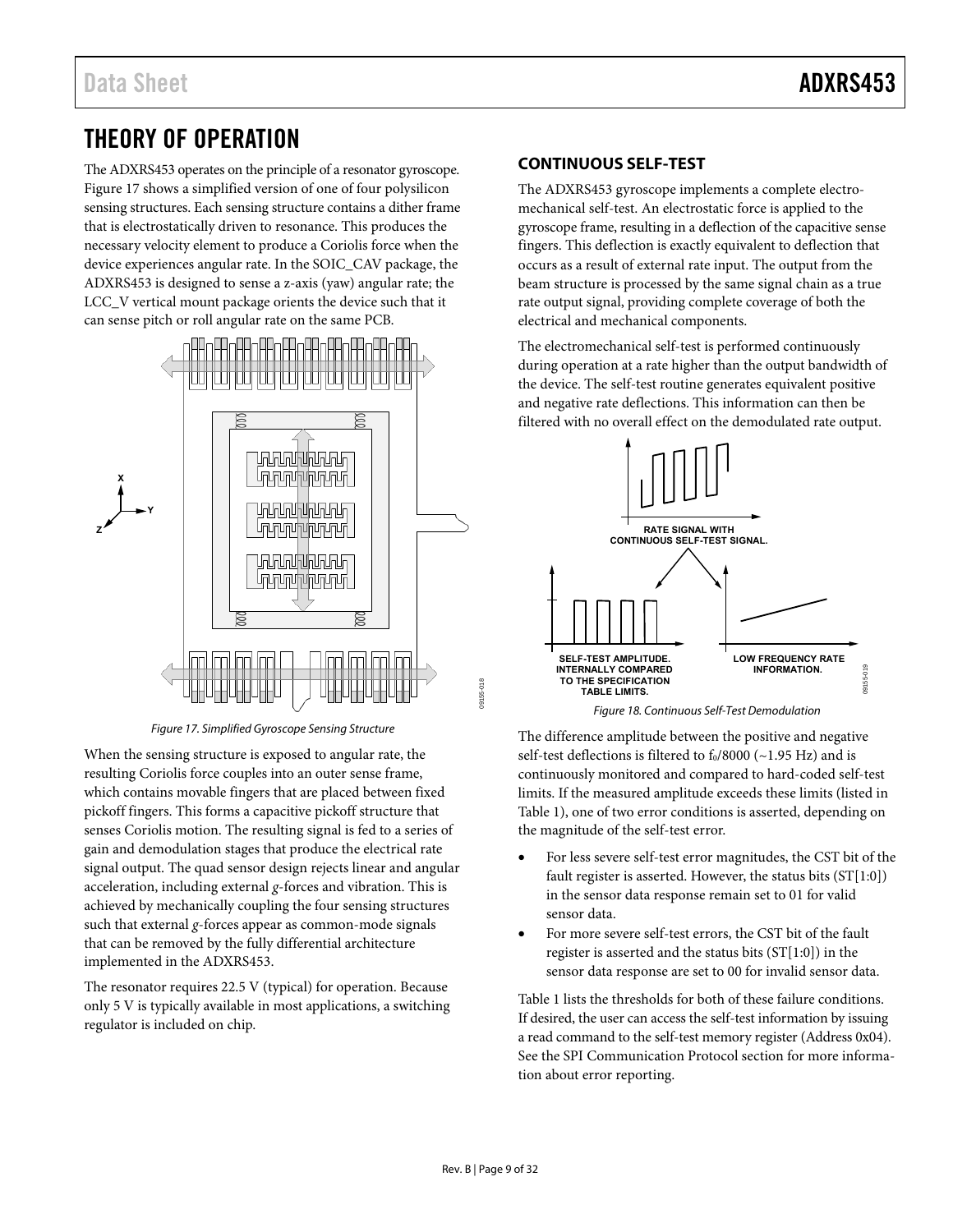### <span id="page-8-0"></span>THEORY OF OPERATION

The ADXRS453 operates on the principle of a resonator gyroscope. [Figure 17 s](#page-8-2)hows a simplified version of one of four polysilicon sensing structures. Each sensing structure contains a dither frame that is electrostatically driven to resonance. This produces the necessary velocity element to produce a Coriolis force when the device experiences angular rate. In the SOIC\_CAV package, the ADXRS453 is designed to sense a z-axis (yaw) angular rate; the LCC\_V vertical mount package orients the device such that it can sense pitch or roll angular rate on the same PCB.



Figure 17. Simplified Gyroscope Sensing Structure

<span id="page-8-2"></span>When the sensing structure is exposed to angular rate, the resulting Coriolis force couples into an outer sense frame, which contains movable fingers that are placed between fixed pickoff fingers. This forms a capacitive pickoff structure that senses Coriolis motion. The resulting signal is fed to a series of gain and demodulation stages that produce the electrical rate signal output. The quad sensor design rejects linear and angular acceleration, including external *g*-forces and vibration. This is achieved by mechanically coupling the four sensing structures such that external *g*-forces appear as common-mode signals that can be removed by the fully differential architecture implemented in the ADXRS453.

The resonator requires 22.5 V (typical) for operation. Because only 5 V is typically available in most applications, a switching regulator is included on chip.

#### <span id="page-8-1"></span>**CONTINUOUS SELF-TEST**

The ADXRS453 gyroscope implements a complete electromechanical self-test. An electrostatic force is applied to the gyroscope frame, resulting in a deflection of the capacitive sense fingers. This deflection is exactly equivalent to deflection that occurs as a result of external rate input. The output from the beam structure is processed by the same signal chain as a true rate output signal, providing complete coverage of both the electrical and mechanical components.

The electromechanical self-test is performed continuously during operation at a rate higher than the output bandwidth of the device. The self-test routine generates equivalent positive and negative rate deflections. This information can then be filtered with no overall effect on the demodulated rate output.



The difference amplitude between the positive and negative self-test deflections is filtered to  $f_0/8000$  ( $\sim$ 1.95 Hz) and is continuously monitored and compared to hard-coded self-test limits. If the measured amplitude exceeds these limits (listed in [Table 1\)](#page-2-1), one of two error conditions is asserted, depending on the magnitude of the self-test error.

- For less severe self-test error magnitudes, the CST bit of the fault register is asserted. However, the status bits (ST[1:0]) in the sensor data response remain set to 01 for valid sensor data.
- For more severe self-test errors, the CST bit of the fault register is asserted and the status bits  $(ST[1:0])$  in the sensor data response are set to 00 for invalid sensor data.

[Table 1](#page-2-1) lists the thresholds for both of these failure conditions. If desired, the user can access the self-test information by issuing a read command to the self-test memory register (Address 0x04). See the [SPI Communication Protocol s](#page-13-0)ection for more information about error reporting.

09155-018

09155-018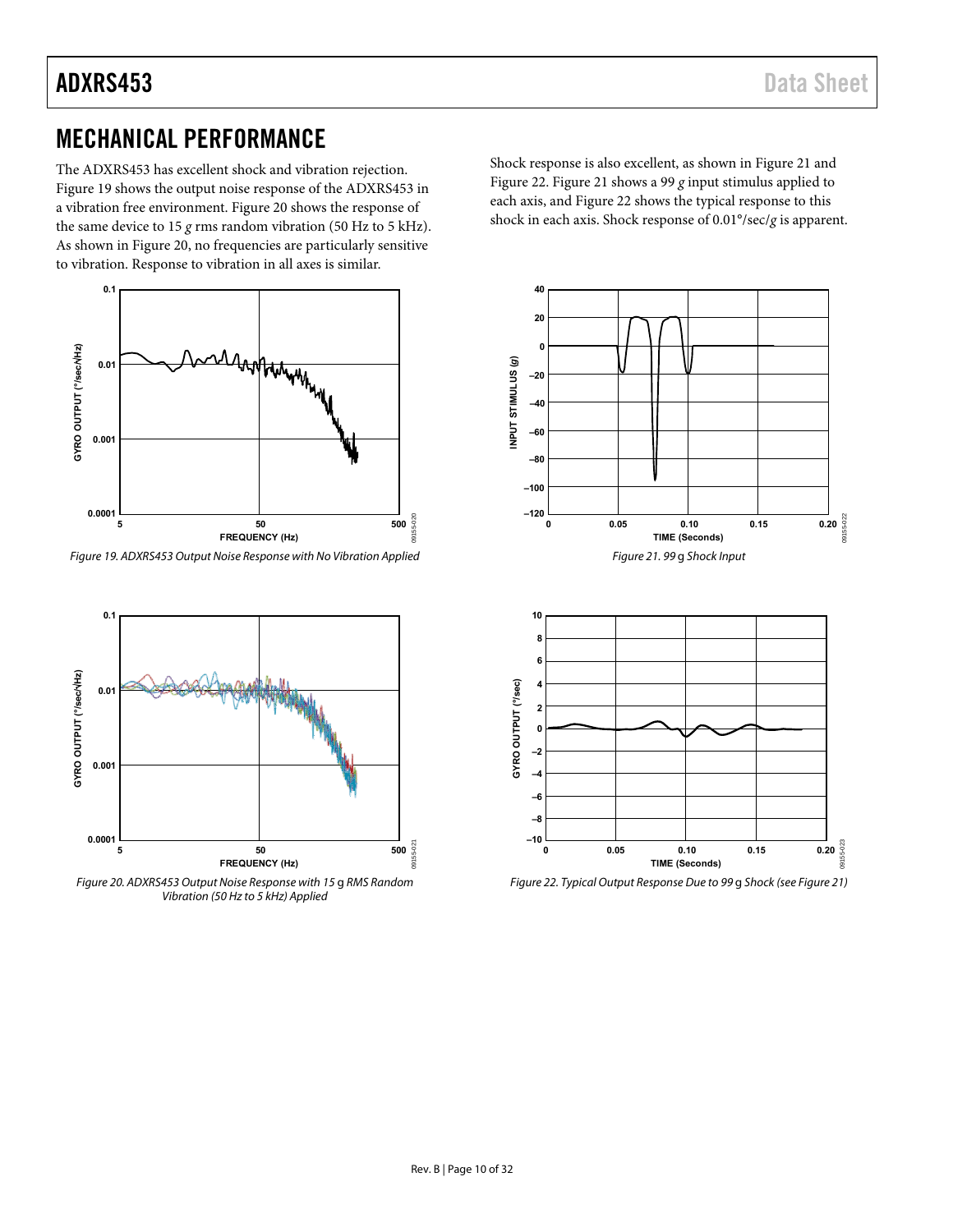### ADXRS453 Data Sheet

### <span id="page-9-0"></span>MECHANICAL PERFORMANCE

The ADXRS453 has excellent shock and vibration rejection. [Figure 19 s](#page-9-1)hows the output noise response of the ADXRS453 in a vibration free environment. [Figure 20 s](#page-9-2)hows the response of the same device to 15 *g* rms random vibration (50 Hz to 5 kHz). As shown in [Figure 20,](#page-9-2) no frequencies are particularly sensitive to vibration. Response to vibration in all axes is similar.



<span id="page-9-1"></span>Figure 19. ADXRS453 Output Noise Response with No Vibration Applied



<span id="page-9-2"></span>Figure 20. ADXRS453 Output Noise Response with 15 g RMS Random Vibration (50 Hz to 5 kHz) Applied

Shock response is also excellent, as shown i[n Figure 21](#page-9-3) and [Figure 22.](#page-9-4) [Figure 21 s](#page-9-3)hows a 99 *g* input stimulus applied to each axis, and [Figure 22 s](#page-9-4)hows the typical response to this shock in each axis. Shock response of 0.01°/sec/*g* is apparent.

<span id="page-9-3"></span>

<span id="page-9-4"></span>Figure 22. Typical Output Response Due to 99 g Shock (se[e Figure 21\)](#page-9-3) 

09155-021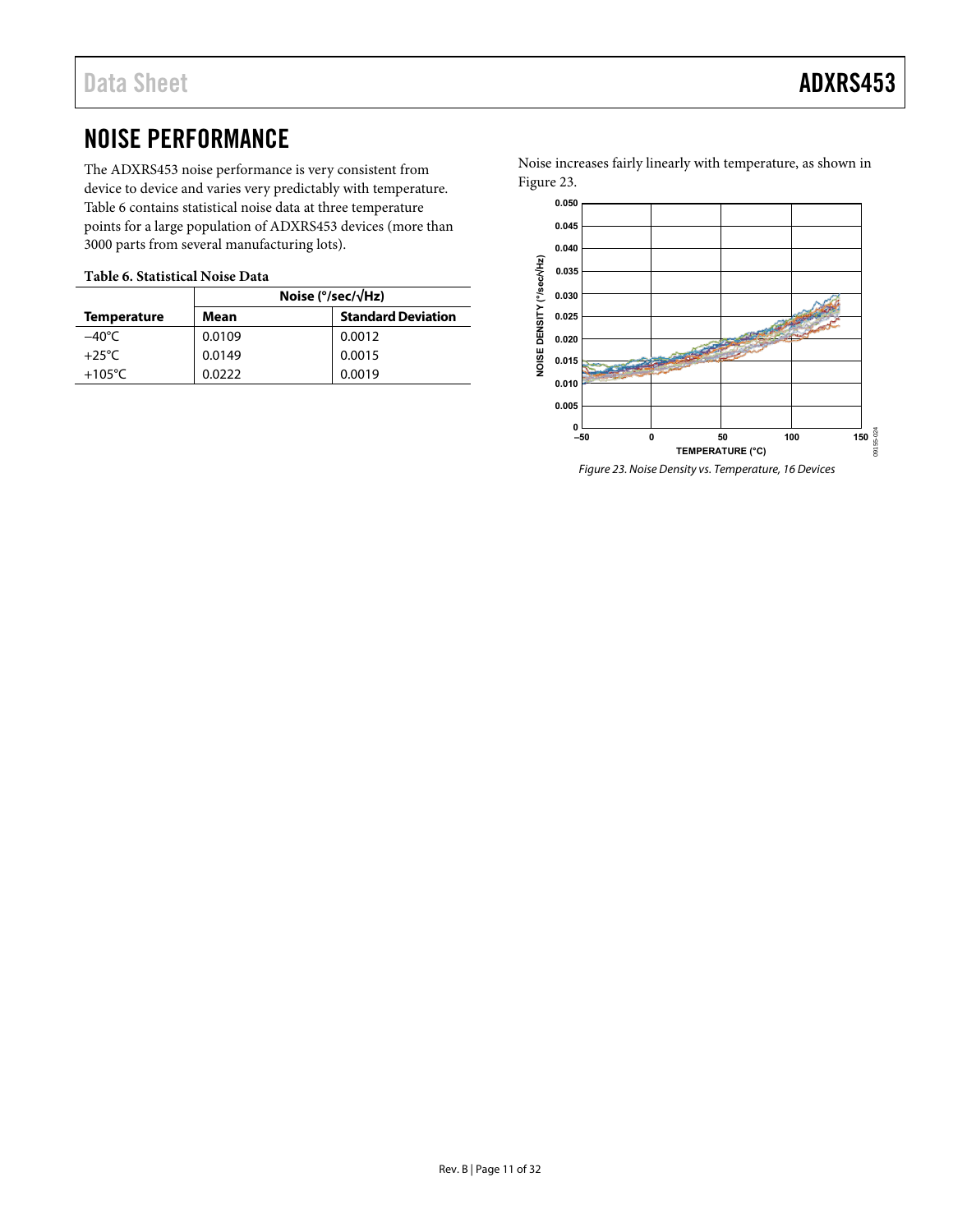### <span id="page-10-0"></span>NOISE PERFORMANCE

The ADXRS453 noise performance is very consistent from device to device and varies very predictably with temperature. [Table 6](#page-10-1) contains statistical noise data at three temperature points for a large population of ADXRS453 devices (more than 3000 parts from several manufacturing lots).

#### <span id="page-10-1"></span>**Table 6. Statistical Noise Data**

|                    | Noise ( $\degree$ /sec/ $\sqrt{Hz}$ ) |                           |  |
|--------------------|---------------------------------------|---------------------------|--|
| <b>Temperature</b> | Mean                                  | <b>Standard Deviation</b> |  |
| –40°C              | 0.0109                                | 0.0012                    |  |
| $+25^{\circ}$ C    | 0.0149                                | 0.0015                    |  |
| $+105^{\circ}$ C   | 0.0222                                | 0.0019                    |  |

Noise increases fairly linearly with temperature, as shown in [Figure 23.](#page-10-2) 



<span id="page-10-2"></span>Figure 23. Noise Density vs. Temperature, 16 Devices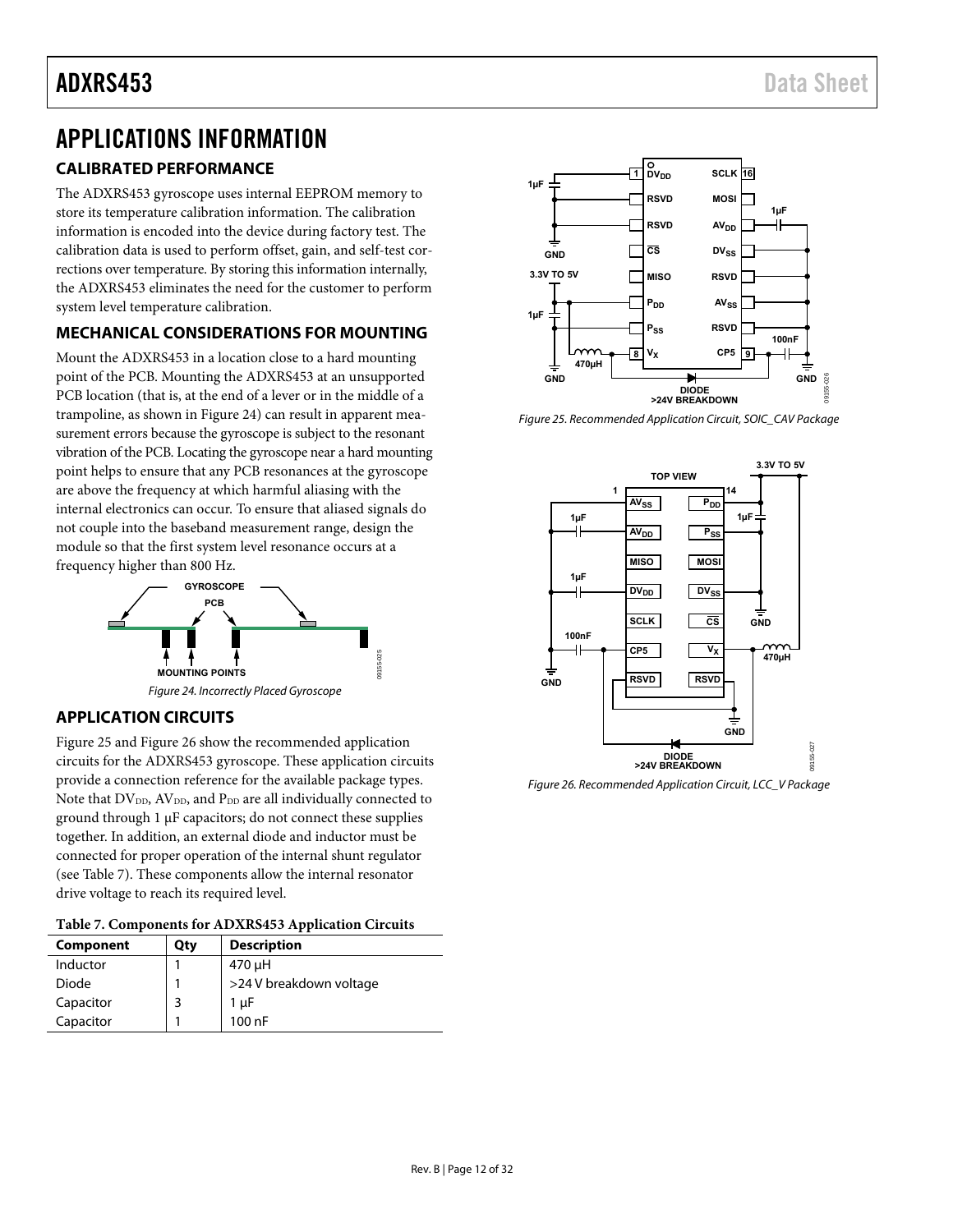### <span id="page-11-0"></span>APPLICATIONS INFORMATION

### <span id="page-11-1"></span>**CALIBRATED PERFORMANCE**

The ADXRS453 gyroscope uses internal EEPROM memory to store its temperature calibration information. The calibration information is encoded into the device during factory test. The calibration data is used to perform offset, gain, and self-test corrections over temperature. By storing this information internally, the ADXRS453 eliminates the need for the customer to perform system level temperature calibration.

#### <span id="page-11-2"></span>**MECHANICAL CONSIDERATIONS FOR MOUNTING**

Mount the ADXRS453 in a location close to a hard mounting point of the PCB. Mounting the ADXRS453 at an unsupported PCB location (that is, at the end of a lever or in the middle of a trampoline, as shown in [Figure 24\)](#page-11-6) can result in apparent measurement errors because the gyroscope is subject to the resonant vibration of the PCB. Locating the gyroscope near a hard mounting point helps to ensure that any PCB resonances at the gyroscope are above the frequency at which harmful aliasing with the internal electronics can occur. To ensure that aliased signals do not couple into the baseband measurement range, design the module so that the first system level resonance occurs at a frequency higher than 800 Hz.



#### <span id="page-11-6"></span><span id="page-11-3"></span>**APPLICATION CIRCUITS**

[Figure 25 a](#page-11-4)n[d Figure 26](#page-11-5) show the recommended application circuits for the ADXRS453 gyroscope. These application circuits provide a connection reference for the available package types. Note that DV<sub>DD</sub>, AV<sub>DD</sub>, and P<sub>DD</sub> are all individually connected to ground through 1 μF capacitors; do not connect these supplies together. In addition, an external diode and inductor must be connected for proper operation of the internal shunt regulator (see [Table 7\)](#page-11-7). These components allow the internal resonator drive voltage to reach its required level.

<span id="page-11-7"></span>

| Component | Qty | <b>Description</b>      |
|-----------|-----|-------------------------|
| Inductor  |     | 470 µH                  |
| Diode     |     | >24 V breakdown voltage |
| Capacitor |     | 1 µF                    |
| Capacitor |     | 100 nF                  |



<span id="page-11-4"></span>Figure 25. Recommended Application Circuit, SOIC\_CAV Package



<span id="page-11-5"></span>Figure 26. Recommended Application Circuit, LCC\_V Package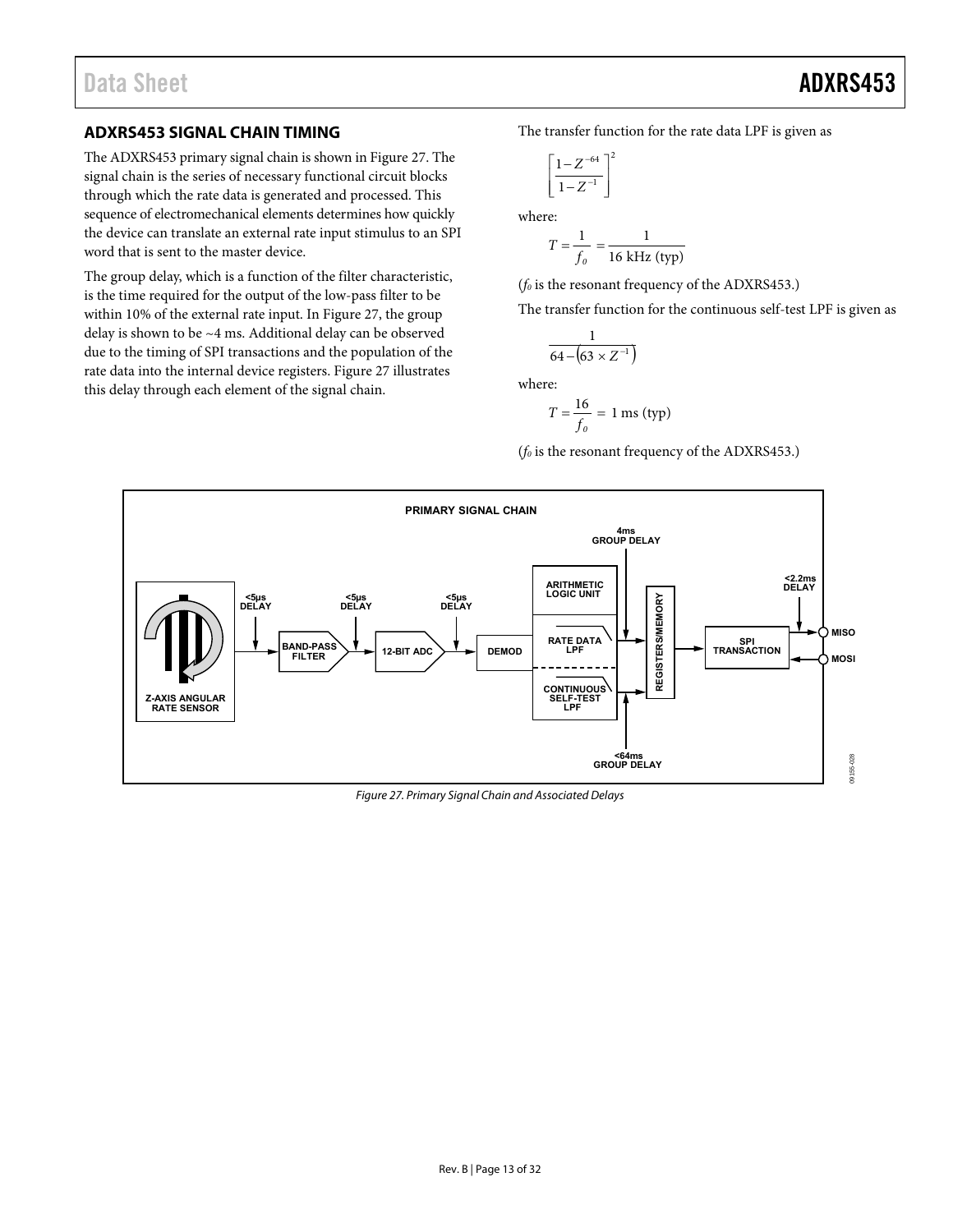#### <span id="page-12-0"></span>**ADXRS453 SIGNAL CHAIN TIMING**

The ADXRS453 primary signal chain is shown in [Figure 27.](#page-12-1) The signal chain is the series of necessary functional circuit blocks through which the rate data is generated and processed. This sequence of electromechanical elements determines how quickly the device can translate an external rate input stimulus to an SPI word that is sent to the master device.

The group delay, which is a function of the filter characteristic, is the time required for the output of the low-pass filter to be within 10% of the external rate input. I[n Figure 27,](#page-12-1) the group delay is shown to be ~4 ms. Additional delay can be observed due to the timing of SPI transactions and the population of the rate data into the internal device registers. [Figure 27 i](#page-12-1)llustrates this delay through each element of the signal chain.

The transfer function for the rate data LPF is given as

$$
\left[\frac{1-Z^{-64}}{1-Z^{-1}}\right]^2
$$
 where:

$$
T = \frac{1}{f_o} = \frac{1}{16 \text{ kHz (typ)}}
$$

(*f0* is the resonant frequency of the ADXRS453.)

The transfer function for the continuous self-test LPF is given as

$$
\frac{1}{64 - (63 \times Z^{-1})}
$$

where:

$$
T = \frac{16}{f_0} = 1 \text{ ms (typ)}
$$

(*f0* is the resonant frequency of the ADXRS453.)



<span id="page-12-1"></span>Figure 27. Primary Signal Chain and Associated Delays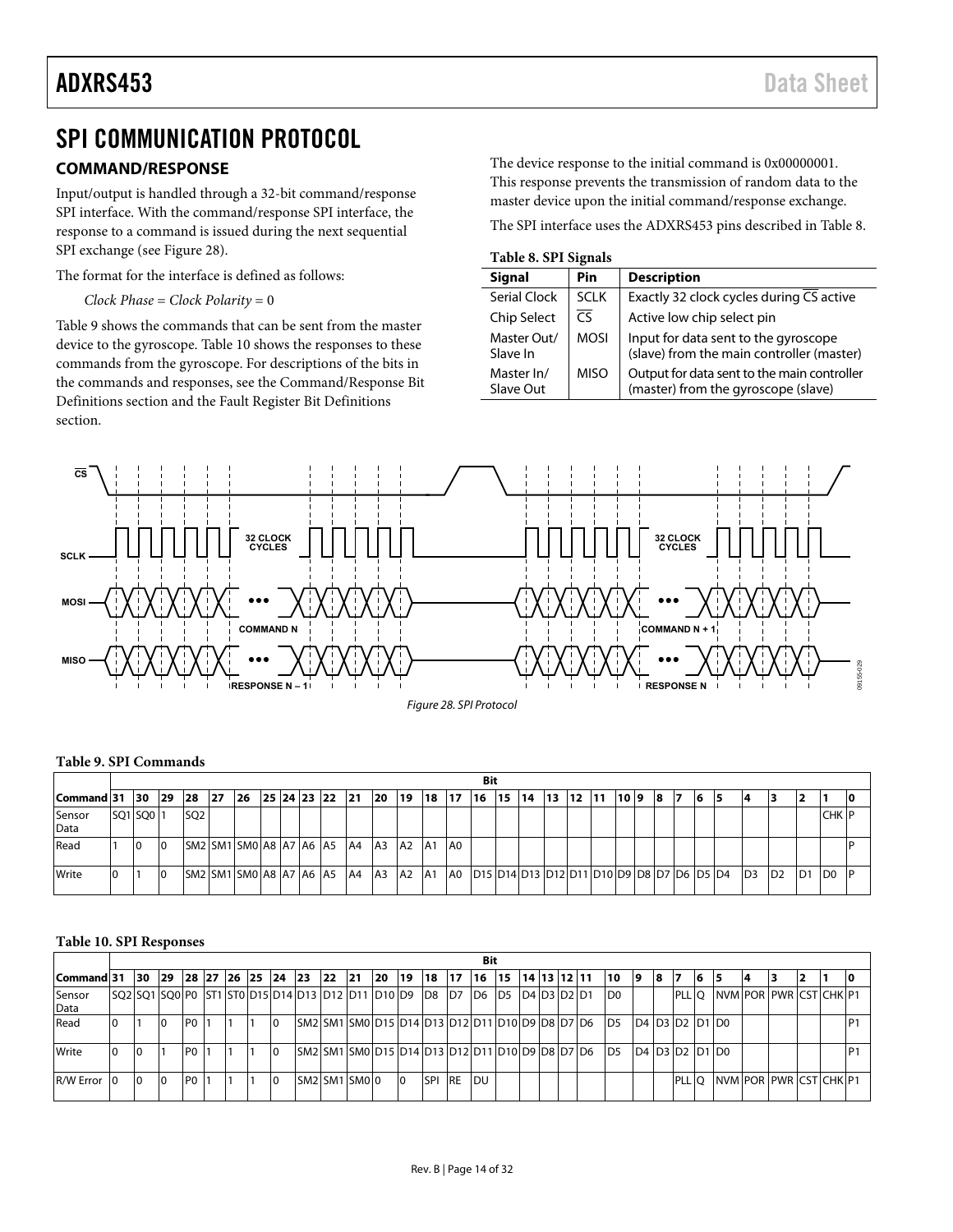### <span id="page-13-0"></span>SPI COMMUNICATION PROTOCOL

#### <span id="page-13-1"></span>**COMMAND/RESPONSE**

Input/output is handled through a 32-bit command/response SPI interface. With the command/response SPI interface, the response to a command is issued during the next sequential SPI exchange (se[e Figure 28\)](#page-13-2).

The format for the interface is defined as follows:

*Clock Phase* = *Clock Polarity* = 0

[Table 9](#page-13-3) shows the commands that can be sent from the master device to the gyroscope[. Table 10](#page-13-4) shows the responses to these commands from the gyroscope. For descriptions of the bits in the commands and responses, see the [Command/Response Bit](#page-16-0)  [Definitions](#page-16-0) section and the [Fault Register Bit Definitions](#page-17-0)  section.

The device response to the initial command is 0x00000001. This response prevents the transmission of random data to the master device upon the initial command/response exchange.

The SPI interface uses the ADXRS453 pins described i[n Table 8.](#page-13-5) 

<span id="page-13-5"></span>**Table 8. SPI Signals** 

| <b>Signal</b>           | Pin         | <b>Description</b>                                                                 |
|-------------------------|-------------|------------------------------------------------------------------------------------|
| <b>Serial Clock</b>     | <b>SCLK</b> | Exactly 32 clock cycles during CS active                                           |
| Chip Select             | CS.         | Active low chip select pin                                                         |
| Master Out/<br>Slave In | <b>MOSI</b> | Input for data sent to the gyroscope<br>(slave) from the main controller (master)  |
| Master In/<br>Slave Out | <b>MISO</b> | Output for data sent to the main controller<br>(master) from the gyroscope (slave) |



#### <span id="page-13-3"></span><span id="page-13-2"></span>**Table 9. SPI Commands**

|                | Bit       |           |                 |      |                         |  |  |             |           |                |    |                 |    |                                                      |            |     |       |    |     |    |    |          |    |                 |                |    |                 |    |
|----------------|-----------|-----------|-----------------|------|-------------------------|--|--|-------------|-----------|----------------|----|-----------------|----|------------------------------------------------------|------------|-----|-------|----|-----|----|----|----------|----|-----------------|----------------|----|-----------------|----|
| Command 31  30 |           | <b>29</b> | <b>28</b>       | - 27 | 26                      |  |  | 25 24 23 22 | 121       | <b>20</b>      | 19 | 18              | 17 | 16                                                   | <b>115</b> | -14 | 13 12 | 11 | 109 | 18 | 17 | <b>6</b> | 15 | 14              |                | 12 |                 | 10 |
| Sensor<br>Data | SQ1 SQ0 1 |           | SQ <sub>2</sub> |      |                         |  |  |             |           |                |    |                 |    |                                                      |            |     |       |    |     |    |    |          |    |                 |                |    | <b>CHK</b> F    |    |
| Read           | 10        | 10        |                 |      | SM2 SM1 SM0 A8 A7 A6 A5 |  |  |             | <b>A4</b> | A <sub>3</sub> | A2 | <b>A1</b>       | A0 |                                                      |            |     |       |    |     |    |    |          |    |                 |                |    |                 |    |
| Write          |           | 10        |                 |      | SM2 SM1 SM0 A8 A7 A6 A5 |  |  |             | <b>A4</b> | A <sub>3</sub> | A2 | IA <sub>1</sub> | A0 | D15  D14  D13  D12  D11  D10  D9  D8  D7  D6  D5  D4 |            |     |       |    |     |    |    |          |    | I <sub>D3</sub> | D <sub>2</sub> | D1 | 1D <sub>0</sub> |    |

#### <span id="page-13-4"></span>**Table 10. SPI Responses**

|                |                |              |                 |  |                             |     |                                                                     |           |           |            |            | Bit   |              |  |                |                          |    |                                                                            |    |                          |  |    |                |
|----------------|----------------|--------------|-----------------|--|-----------------------------|-----|---------------------------------------------------------------------|-----------|-----------|------------|------------|-------|--------------|--|----------------|--------------------------|----|----------------------------------------------------------------------------|----|--------------------------|--|----|----------------|
| Command 31     | <b>30</b>      | $ 29\rangle$ |                 |  | 28   27   26   25   24   23 | 122 | 21                                                                  | <b>20</b> | <b>19</b> | l 18       | 17         | 16 15 | 14 13 12 11  |  | 10             | 19                       | 18 | 7                                                                          | 16 | 15                       |  | 12 |                |
| Sensor<br>Data |                |              |                 |  |                             |     | SQ2 SQ1 SQ0 P0  ST1 ST0 D15 D14 D13 D12 D11  D10 D9  D8  D7  D6  D5 |           |           |            |            |       | ID4 D3 D2 D1 |  | D <sub>0</sub> |                          |    | <b>PLL</b> O                                                               |    | INVM POR PWR ICST CHK P1 |  |    |                |
| Read           |                | l0           | PO <sub>1</sub> |  | $\overline{0}$              |     | ISM2ISM1ISM0ID15ID14ID13ID12ID11ID10ID9ID8ID7ID6                    |           |           |            |            |       |              |  | D <sub>5</sub> | $D4$ $D3$ $D2$ $D1$ $D0$ |    |                                                                            |    |                          |  |    | P <sub>1</sub> |
| Write          | $\overline{0}$ |              | IPO I           |  | 10                          |     | SM2 SM1 SM0 D15 D14 D13 D12 D11 D10 D9 D8 D7 D6                     |           |           |            |            |       |              |  | D <sub>5</sub> |                          |    | D <sub>4</sub> D <sub>3</sub> D <sub>2</sub> D <sub>1</sub> D <sub>0</sub> |    |                          |  |    | P <sub>1</sub> |
| R/W Error 0    | $\overline{0}$ | 10           | IPO I           |  | 10                          |     | SM2 SM1 SM0 O                                                       |           | 10        | <b>SPI</b> | <b>IRE</b> | IDU   |              |  |                |                          |    | PLL O                                                                      |    | NVM POR PWR CST CHK P1   |  |    |                |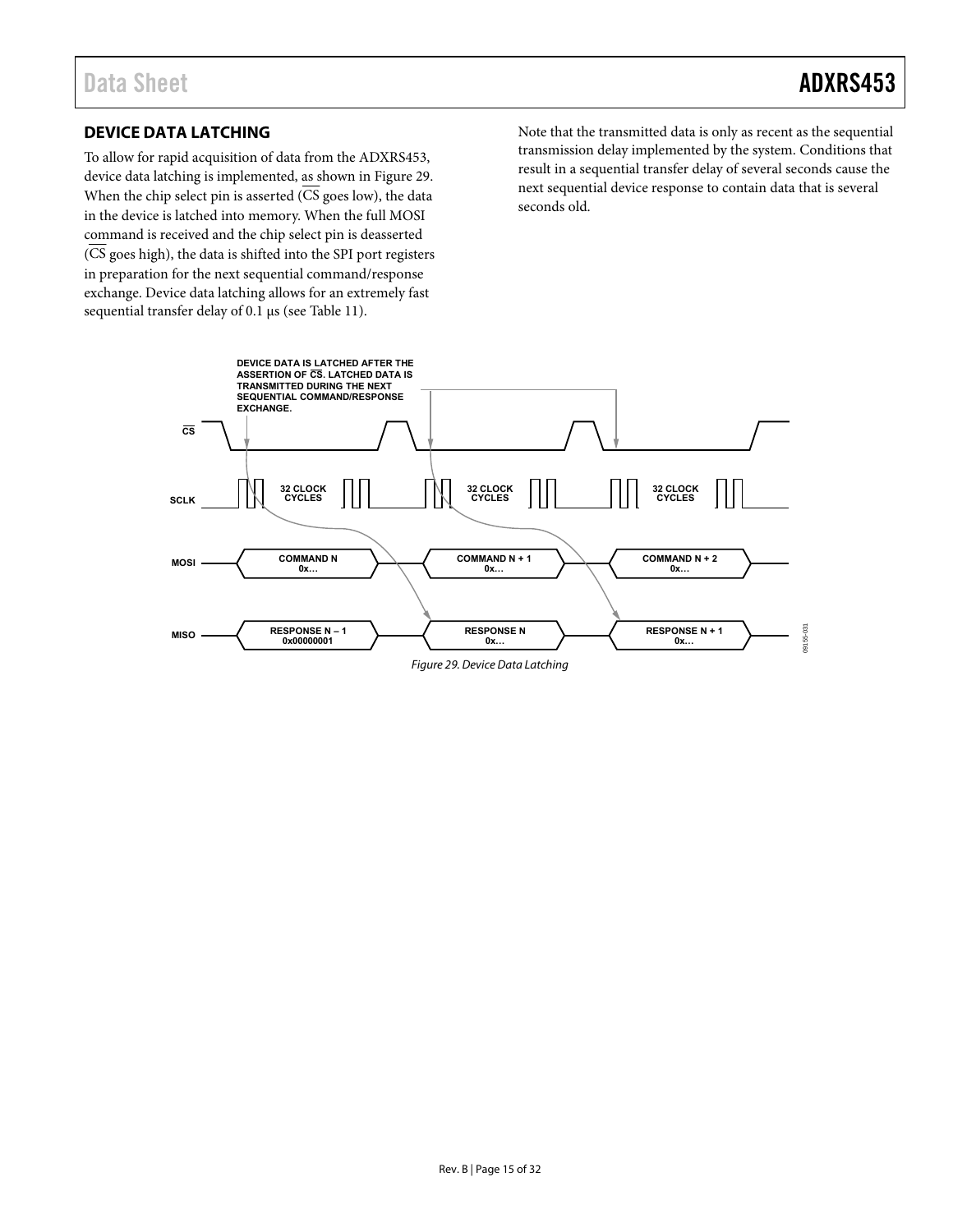#### <span id="page-14-0"></span>**DEVICE DATA LATCHING**

To allow for rapid acquisition of data from the ADXRS453, device data latching is implemented, as shown i[n Figure 29.](#page-14-1)  When the chip select pin is asserted  $(\overline{\text{CS}}\text{ goes low})$ , the data in the device is latched into memory. When the full MOSI command is received and the chip select pin is deasserted (CS goes high), the data is shifted into the SPI port registers in preparation for the next sequential command/response exchange. Device data latching allows for an extremely fast sequential transfer delay of 0.1 μs (see [Table 11\)](#page-15-1).

Note that the transmitted data is only as recent as the sequential transmission delay implemented by the system. Conditions that result in a sequential transfer delay of several seconds cause the next sequential device response to contain data that is several seconds old.

<span id="page-14-1"></span>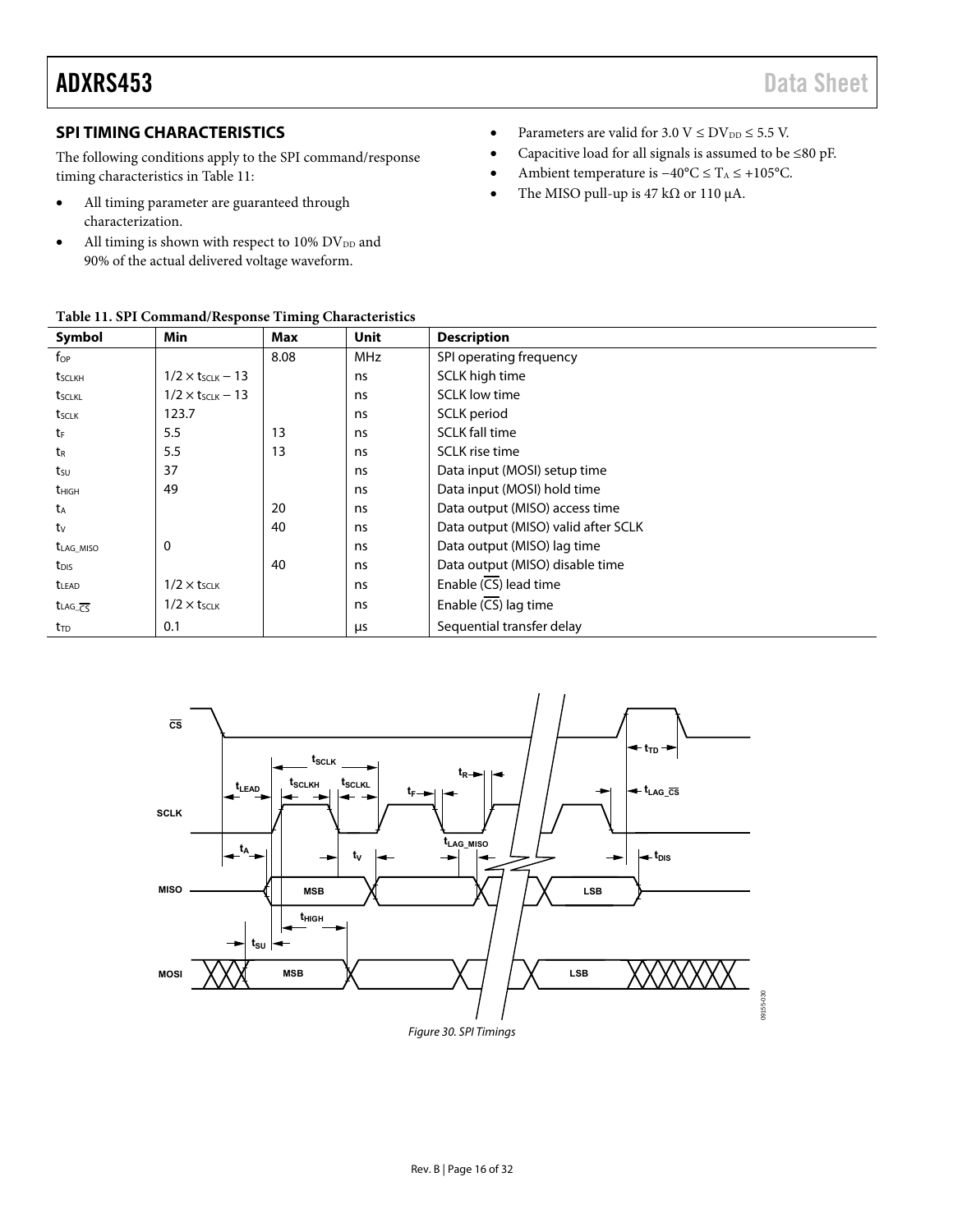### ADXRS453 Data Sheet

#### <span id="page-15-0"></span>**SPI TIMING CHARACTERISTICS**

The following conditions apply to the SPI command/response timing characteristics in [Table 11:](#page-15-1) 

- All timing parameter are guaranteed through characterization.
- $\bullet$  All timing is shown with respect to 10% DV<sub>DD</sub> and 90% of the actual delivered voltage waveform.

<span id="page-15-1"></span>

|  |  | Table 11. SPI Command/Response Timing Characteristics |
|--|--|-------------------------------------------------------|
|--|--|-------------------------------------------------------|

- Parameters are valid for  $3.0 \text{ V} \leq \text{DV}_{DD} \leq 5.5 \text{ V}$ .
- Capacitive load for all signals is assumed to be ≤80 pF.
- Ambient temperature is −40°C ≤ TA ≤ +105°C.
- The MISO pull-up is 47 k $\Omega$  or 110 µA.

|                                    | Table 11. 911 Command/Response Thinnig Characteristics |      |            |                                     |
|------------------------------------|--------------------------------------------------------|------|------------|-------------------------------------|
| Symbol                             | Min                                                    | Max  | Unit       | <b>Description</b>                  |
| $f_{OP}$                           |                                                        | 8.08 | <b>MHz</b> | SPI operating frequency             |
| t <sub>sclkH</sub>                 | $1/2 \times t_{SCLK} - 13$                             |      | ns         | SCLK high time                      |
| tsclkl                             | $1/2 \times t$ SCLK – 13                               |      | ns         | <b>SCLK</b> low time                |
| t <sub>sclk</sub>                  | 123.7                                                  |      | ns         | SCLK period                         |
| tF                                 | 5.5                                                    | 13   | ns         | <b>SCLK fall time</b>               |
| t <sub>R</sub>                     | 5.5                                                    | 13   | ns         | <b>SCLK</b> rise time               |
| tsu                                | 37                                                     |      | ns         | Data input (MOSI) setup time        |
| <b>t</b> <sub>HIGH</sub>           | 49                                                     |      | ns         | Data input (MOSI) hold time         |
| t <sub>A</sub>                     |                                                        | 20   | ns         | Data output (MISO) access time      |
| tv                                 |                                                        | 40   | ns         | Data output (MISO) valid after SCLK |
| t <sub>LAG_MISO</sub>              | $\mathbf 0$                                            |      | ns         | Data output (MISO) lag time         |
| t <sub>DIS</sub>                   |                                                        | 40   | ns         | Data output (MISO) disable time     |
| <b>t</b> LEAD                      | $1/2 \times t$ <sub>SCLK</sub>                         |      | ns         | Enable (CS) lead time               |
| t <sub>LAG_CS</sub>                | $1/2 \times t$ <sub>SCLK</sub>                         |      | ns         | Enable $(\overline{CS})$ lag time   |
| $t_{\scriptscriptstyle \text{TD}}$ | 0.1                                                    |      | μs         | Sequential transfer delay           |

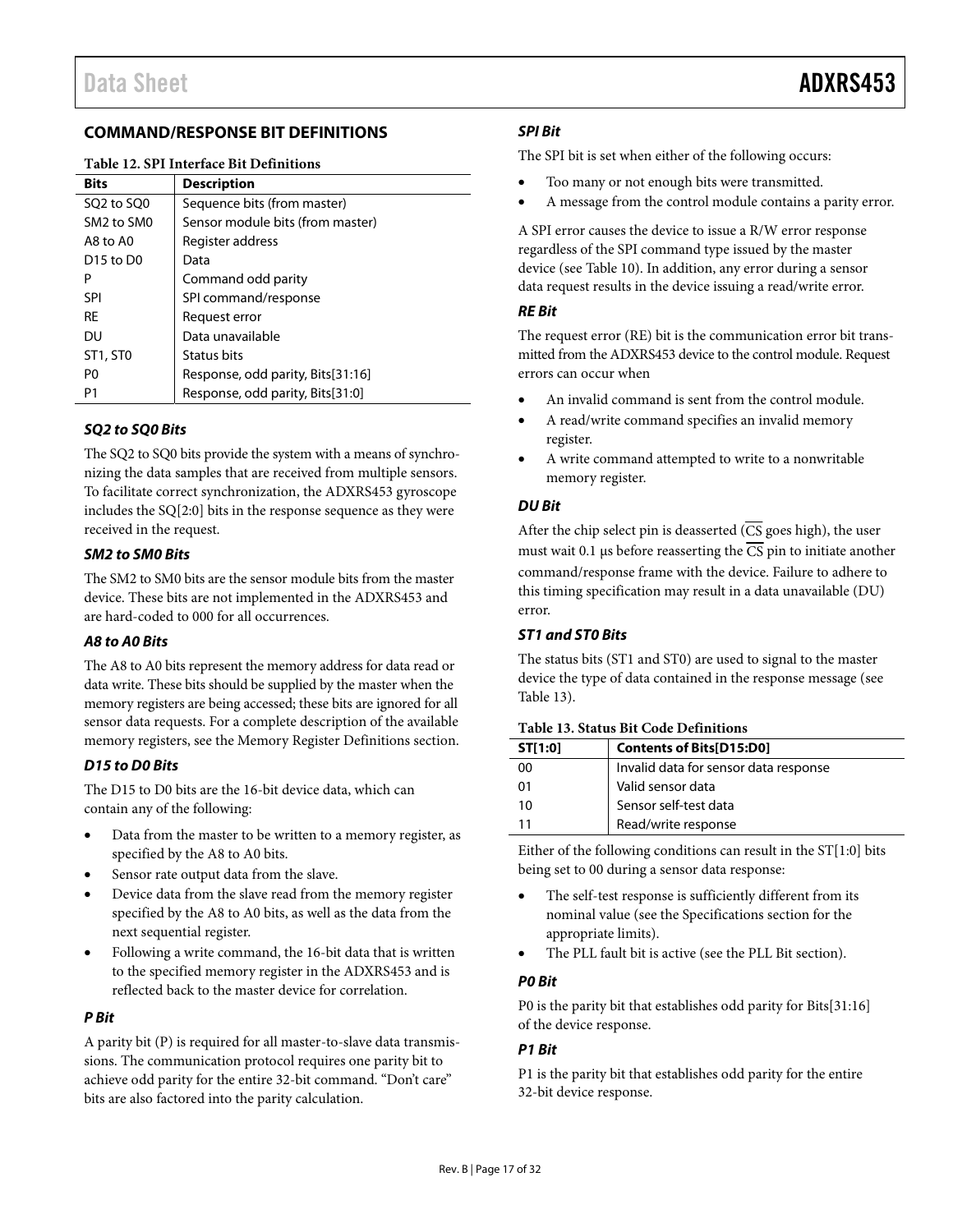#### <span id="page-16-0"></span>**COMMAND/RESPONSE BIT DEFINITIONS**

#### **Table 12. SPI Interface Bit Definitions**

| <b>Bits</b>                        | <b>Description</b>                |
|------------------------------------|-----------------------------------|
| SQ2 to SQ0                         | Sequence bits (from master)       |
| SM <sub>2</sub> to SM <sub>0</sub> | Sensor module bits (from master)  |
| A8 to A0                           | Register address                  |
| D <sub>15</sub> to D <sub>0</sub>  | Data                              |
| P                                  | Command odd parity                |
| SPI                                | SPI command/response              |
| <b>RE</b>                          | Request error                     |
| DU                                 | Data unavailable                  |
| ST1, ST0                           | Status bits                       |
| P0                                 | Response, odd parity, Bits[31:16] |
| P1                                 | Response, odd parity, Bits[31:0]  |

#### **SQ2 to SQ0 Bits**

The SQ2 to SQ0 bits provide the system with a means of synchronizing the data samples that are received from multiple sensors. To facilitate correct synchronization, the ADXRS453 gyroscope includes the SQ[2:0] bits in the response sequence as they were received in the request.

#### **SM2 to SM0 Bits**

The SM2 to SM0 bits are the sensor module bits from the master device. These bits are not implemented in the ADXRS453 and are hard-coded to 000 for all occurrences.

#### **A8 to A0 Bits**

The A8 to A0 bits represent the memory address for data read or data write. These bits should be supplied by the master when the memory registers are being accessed; these bits are ignored for all sensor data requests. For a complete description of the available memory registers, see th[e Memory Register Definitions s](#page-22-0)ection.

#### **D15 to D0 Bits**

The D15 to D0 bits are the 16-bit device data, which can contain any of the following:

- Data from the master to be written to a memory register, as specified by the A8 to A0 bits.
- Sensor rate output data from the slave.
- Device data from the slave read from the memory register specified by the A8 to A0 bits, as well as the data from the next sequential register.
- Following a write command, the 16-bit data that is written to the specified memory register in the ADXRS453 and is reflected back to the master device for correlation.

#### **P Bit**

A parity bit (P) is required for all master-to-slave data transmissions. The communication protocol requires one parity bit to achieve odd parity for the entire 32-bit command. "Don't care" bits are also factored into the parity calculation.

#### **SPI Bit**

The SPI bit is set when either of the following occurs:

- Too many or not enough bits were transmitted.
- A message from the control module contains a parity error.

A SPI error causes the device to issue a R/W error response regardless of the SPI command type issued by the master device (se[e Table 10\)](#page-13-4). In addition, any error during a sensor data request results in the device issuing a read/write error.

#### **RE Bit**

The request error (RE) bit is the communication error bit transmitted from the ADXRS453 device to the control module. Request errors can occur when

- An invalid command is sent from the control module.
- A read/write command specifies an invalid memory register.
- A write command attempted to write to a nonwritable memory register.

#### **DU Bit**

After the chip select pin is deasserted ( $\overline{\text{CS}}$  goes high), the user must wait 0.1 μs before reasserting the  $\overline{CS}$  pin to initiate another command/response frame with the device. Failure to adhere to this timing specification may result in a data unavailable (DU) error.

#### <span id="page-16-2"></span>**ST1 and ST0 Bits**

The status bits (ST1 and ST0) are used to signal to the master device the type of data contained in the response message (see [Table 13\)](#page-16-1).

| ST[1:0] | <b>Contents of Bits[D15:D0]</b>       |
|---------|---------------------------------------|
| ΩO      | Invalid data for sensor data response |
| 01      | Valid sensor data                     |
| 10      | Sensor self-test data                 |
|         | Read/write response                   |

#### <span id="page-16-1"></span>**Table 13. Status Bit Code Definitions**

Either of the following conditions can result in the ST[1:0] bits being set to 00 during a sensor data response:

- The self-test response is sufficiently different from its nominal value (see th[e Specifications](#page-2-0) section for the appropriate limits).
- The PLL fault bit is active (see the [PLL Bit s](#page-17-1)ection).

#### **P0 Bit**

P0 is the parity bit that establishes odd parity for Bits[31:16] of the device response.

#### **P1 Bit**

P1 is the parity bit that establishes odd parity for the entire 32-bit device response.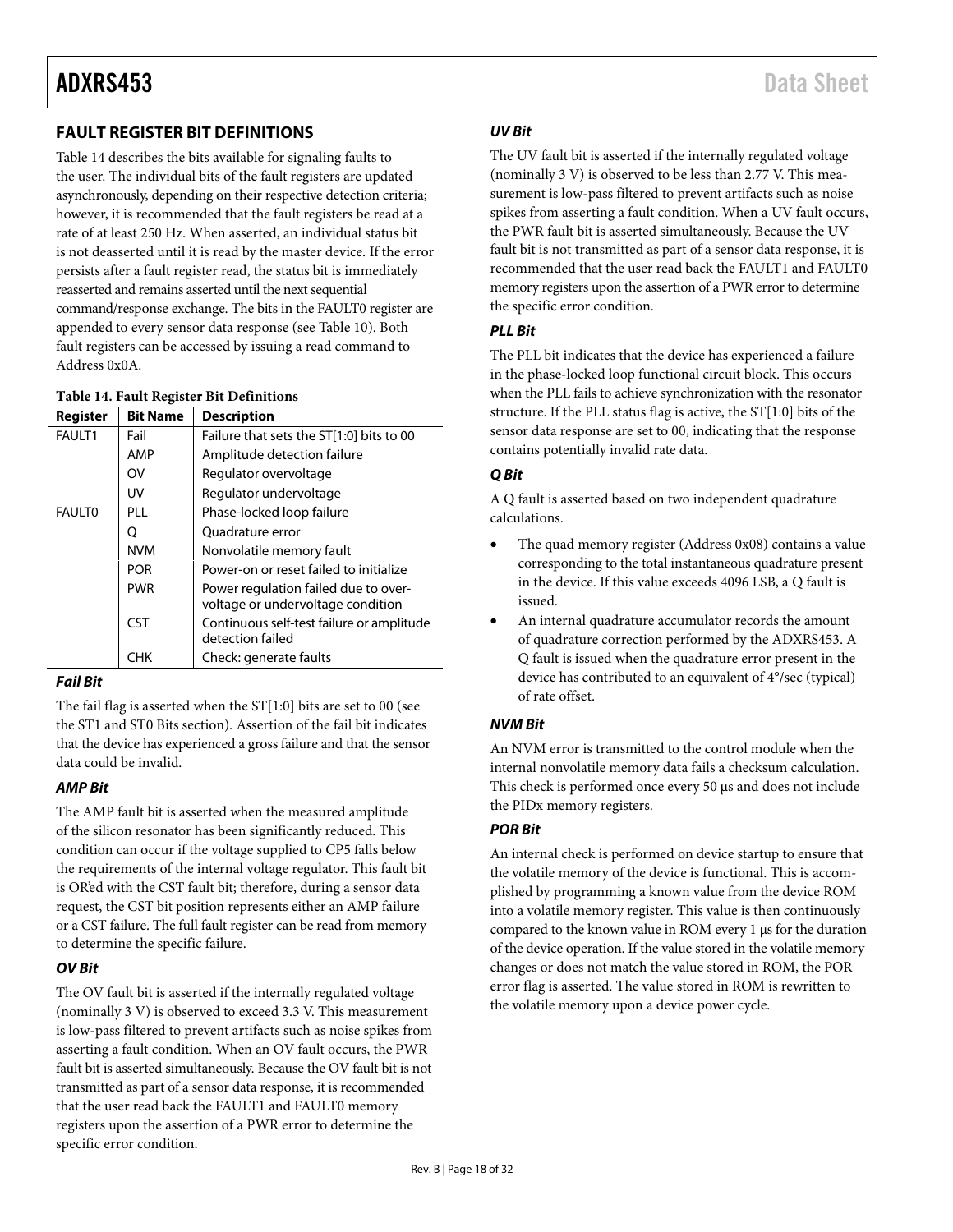#### <span id="page-17-0"></span>**FAULT REGISTER BIT DEFINITIONS**

[Table 14 d](#page-17-2)escribes the bits available for signaling faults to the user. The individual bits of the fault registers are updated asynchronously, depending on their respective detection criteria; however, it is recommended that the fault registers be read at a rate of at least 250 Hz. When asserted, an individual status bit is not deasserted until it is read by the master device. If the error persists after a fault register read, the status bit is immediately reasserted and remains asserted until the next sequential command/response exchange. The bits in the FAULT0 register are appended to every sensor data response (see [Table 10\)](#page-13-4). Both fault registers can be accessed by issuing a read command to Address 0x0A.

#### <span id="page-17-2"></span>**Table 14. Fault Register Bit Definitions**

| Register      | <b>Bit Name</b> | <b>Description</b>                                                        |
|---------------|-----------------|---------------------------------------------------------------------------|
| <b>FAULT1</b> | Fail            | Failure that sets the ST[1:0] bits to 00                                  |
|               | AMP             | Amplitude detection failure                                               |
|               | OV              | Regulator overvoltage                                                     |
|               | UV              | Regulator undervoltage                                                    |
| <b>FAULTO</b> | PI I            | Phase-locked loop failure                                                 |
|               | Ő               | Quadrature error                                                          |
|               | <b>NVM</b>      | Nonvolatile memory fault                                                  |
|               | <b>POR</b>      | Power-on or reset failed to initialize                                    |
|               | <b>PWR</b>      | Power regulation failed due to over-<br>voltage or undervoltage condition |
|               | <b>CST</b>      | Continuous self-test failure or amplitude<br>detection failed             |
|               | снк             | Check: generate faults                                                    |

#### **Fail Bit**

The fail flag is asserted when the ST[1:0] bits are set to 00 (see the [ST1 and ST0 Bits](#page-16-2) section). Assertion of the fail bit indicates that the device has experienced a gross failure and that the sensor data could be invalid.

#### **AMP Bit**

The AMP fault bit is asserted when the measured amplitude of the silicon resonator has been significantly reduced. This condition can occur if the voltage supplied to CP5 falls below the requirements of the internal voltage regulator. This fault bit is OR'ed with the CST fault bit; therefore, during a sensor data request, the CST bit position represents either an AMP failure or a CST failure. The full fault register can be read from memory to determine the specific failure.

#### **OV Bit**

The OV fault bit is asserted if the internally regulated voltage (nominally 3 V) is observed to exceed 3.3 V. This measurement is low-pass filtered to prevent artifacts such as noise spikes from asserting a fault condition. When an OV fault occurs, the PWR fault bit is asserted simultaneously. Because the OV fault bit is not transmitted as part of a sensor data response, it is recommended that the user read back the FAULT1 and FAULT0 memory registers upon the assertion of a PWR error to determine the specific error condition.

#### **UV Bit**

The UV fault bit is asserted if the internally regulated voltage (nominally 3 V) is observed to be less than 2.77 V. This measurement is low-pass filtered to prevent artifacts such as noise spikes from asserting a fault condition. When a UV fault occurs, the PWR fault bit is asserted simultaneously. Because the UV fault bit is not transmitted as part of a sensor data response, it is recommended that the user read back the FAULT1 and FAULT0 memory registers upon the assertion of a PWR error to determine the specific error condition.

#### <span id="page-17-1"></span>**PLL Bit**

The PLL bit indicates that the device has experienced a failure in the phase-locked loop functional circuit block. This occurs when the PLL fails to achieve synchronization with the resonator structure. If the PLL status flag is active, the ST[1:0] bits of the sensor data response are set to 00, indicating that the response contains potentially invalid rate data.

#### **Q Bit**

A Q fault is asserted based on two independent quadrature calculations.

- The quad memory register (Address 0x08) contains a value corresponding to the total instantaneous quadrature present in the device. If this value exceeds 4096 LSB, a Q fault is issued.
- An internal quadrature accumulator records the amount of quadrature correction performed by the ADXRS453. A Q fault is issued when the quadrature error present in the device has contributed to an equivalent of 4°/sec (typical) of rate offset.

#### **NVM Bit**

An NVM error is transmitted to the control module when the internal nonvolatile memory data fails a checksum calculation. This check is performed once every 50 μs and does not include the PIDx memory registers.

#### **POR Bit**

An internal check is performed on device startup to ensure that the volatile memory of the device is functional. This is accomplished by programming a known value from the device ROM into a volatile memory register. This value is then continuously compared to the known value in ROM every 1 μs for the duration of the device operation. If the value stored in the volatile memory changes or does not match the value stored in ROM, the POR error flag is asserted. The value stored in ROM is rewritten to the volatile memory upon a device power cycle.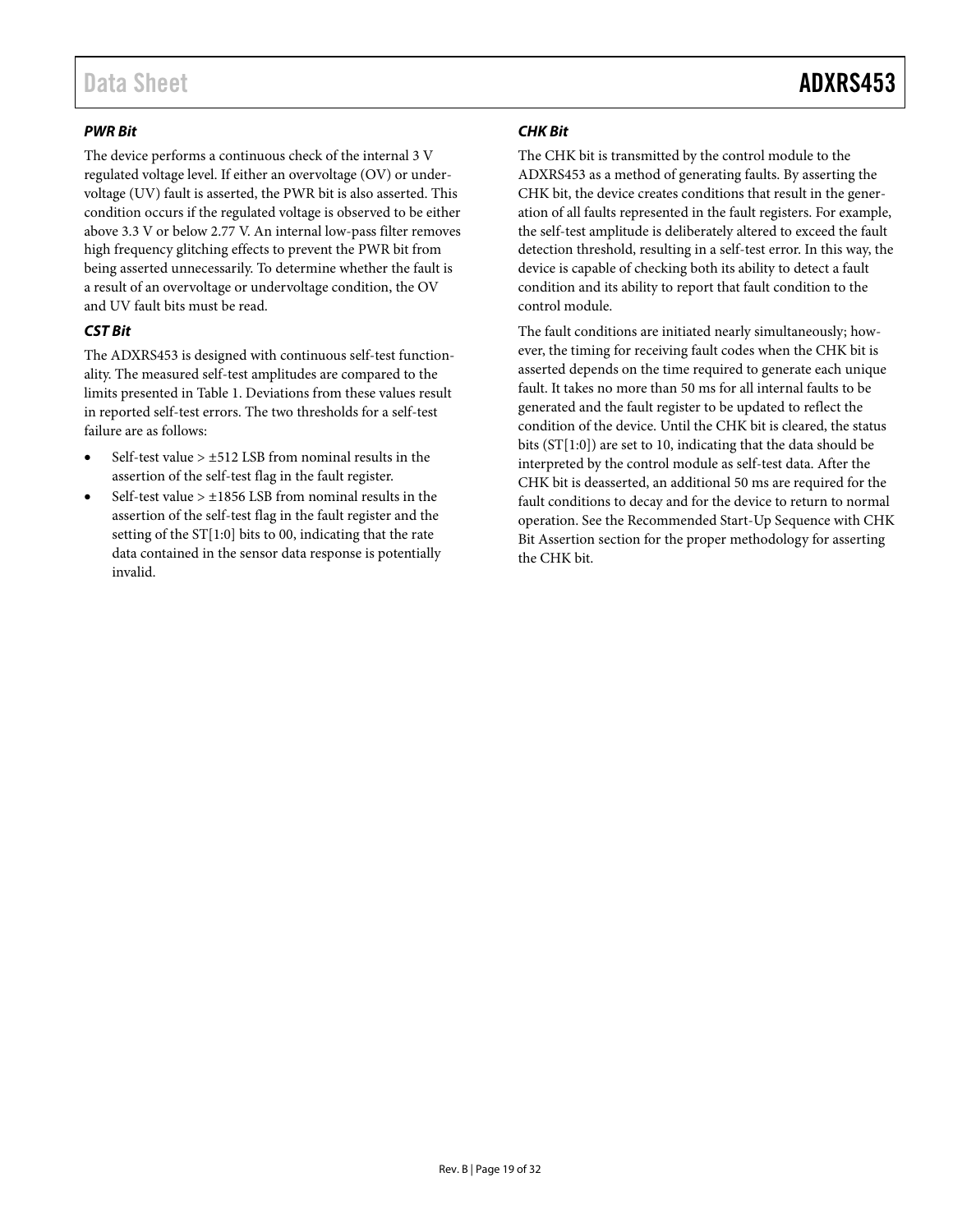#### **PWR Bit**

The device performs a continuous check of the internal 3 V regulated voltage level. If either an overvoltage (OV) or undervoltage (UV) fault is asserted, the PWR bit is also asserted. This condition occurs if the regulated voltage is observed to be either above 3.3 V or below 2.77 V. An internal low-pass filter removes high frequency glitching effects to prevent the PWR bit from being asserted unnecessarily. To determine whether the fault is a result of an overvoltage or undervoltage condition, the OV and UV fault bits must be read.

#### **CST Bit**

The ADXRS453 is designed with continuous self-test functionality. The measured self-test amplitudes are compared to the limits presented i[n Table 1.](#page-2-1) Deviations from these values result in reported self-test errors. The two thresholds for a self-test failure are as follows:

- Self-test value > ±512 LSB from nominal results in the assertion of the self-test flag in the fault register.
- Self-test value  $> \pm 1856$  LSB from nominal results in the assertion of the self-test flag in the fault register and the setting of the  $ST[1:0]$  bits to 00, indicating that the rate data contained in the sensor data response is potentially invalid.

#### **CHK Bit**

The CHK bit is transmitted by the control module to the ADXRS453 as a method of generating faults. By asserting the CHK bit, the device creates conditions that result in the generation of all faults represented in the fault registers. For example, the self-test amplitude is deliberately altered to exceed the fault detection threshold, resulting in a self-test error. In this way, the device is capable of checking both its ability to detect a fault condition and its ability to report that fault condition to the control module.

The fault conditions are initiated nearly simultaneously; however, the timing for receiving fault codes when the CHK bit is asserted depends on the time required to generate each unique fault. It takes no more than 50 ms for all internal faults to be generated and the fault register to be updated to reflect the condition of the device. Until the CHK bit is cleared, the status bits (ST[1:0]) are set to 10, indicating that the data should be interpreted by the control module as self-test data. After the CHK bit is deasserted, an additional 50 ms are required for the fault conditions to decay and for the device to return to normal operation. See the [Recommended Start-Up Sequence with CHK](#page-19-0)  [Bit Assertion s](#page-19-0)ection for the proper methodology for asserting the CHK bit.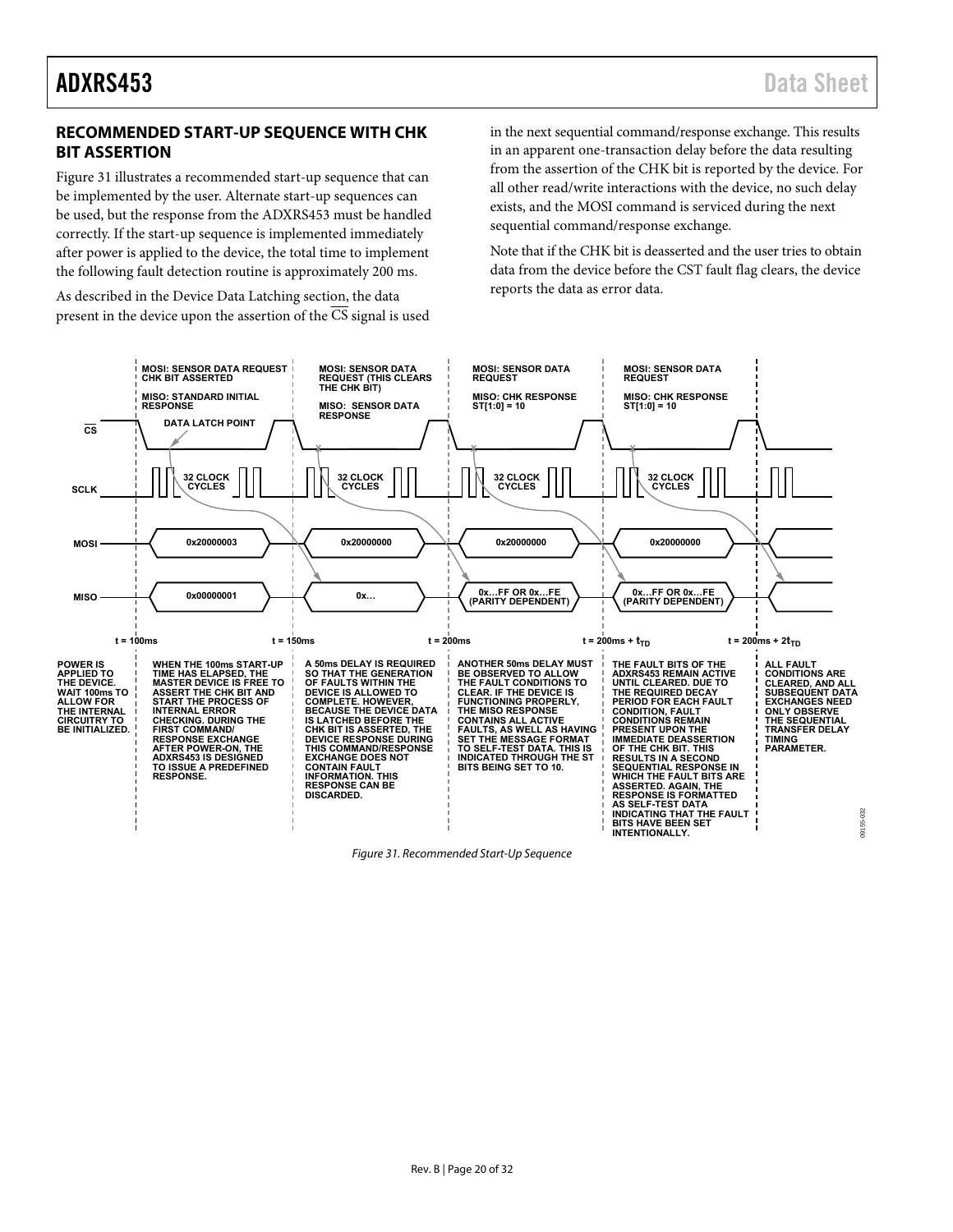#### <span id="page-19-0"></span>**RECOMMENDED START-UP SEQUENCE WITH CHK BIT ASSERTION**

[Figure 31 i](#page-19-1)llustrates a recommended start-up sequence that can be implemented by the user. Alternate start-up sequences can be used, but the response from the ADXRS453 must be handled correctly. If the start-up sequence is implemented immediately after power is applied to the device, the total time to implement the following fault detection routine is approximately 200 ms.

As described in the [Device Data Latching](#page-14-0) section, the data present in the device upon the assertion of the  $\overline{CS}$  signal is used in the next sequential command/response exchange. This results in an apparent one-transaction delay before the data resulting from the assertion of the CHK bit is reported by the device. For all other read/write interactions with the device, no such delay exists, and the MOSI command is serviced during the next sequential command/response exchange.

Note that if the CHK bit is deasserted and the user tries to obtain data from the device before the CST fault flag clears, the device reports the data as error data.



<span id="page-19-1"></span>Figure 31. Recommended Start-Up Sequence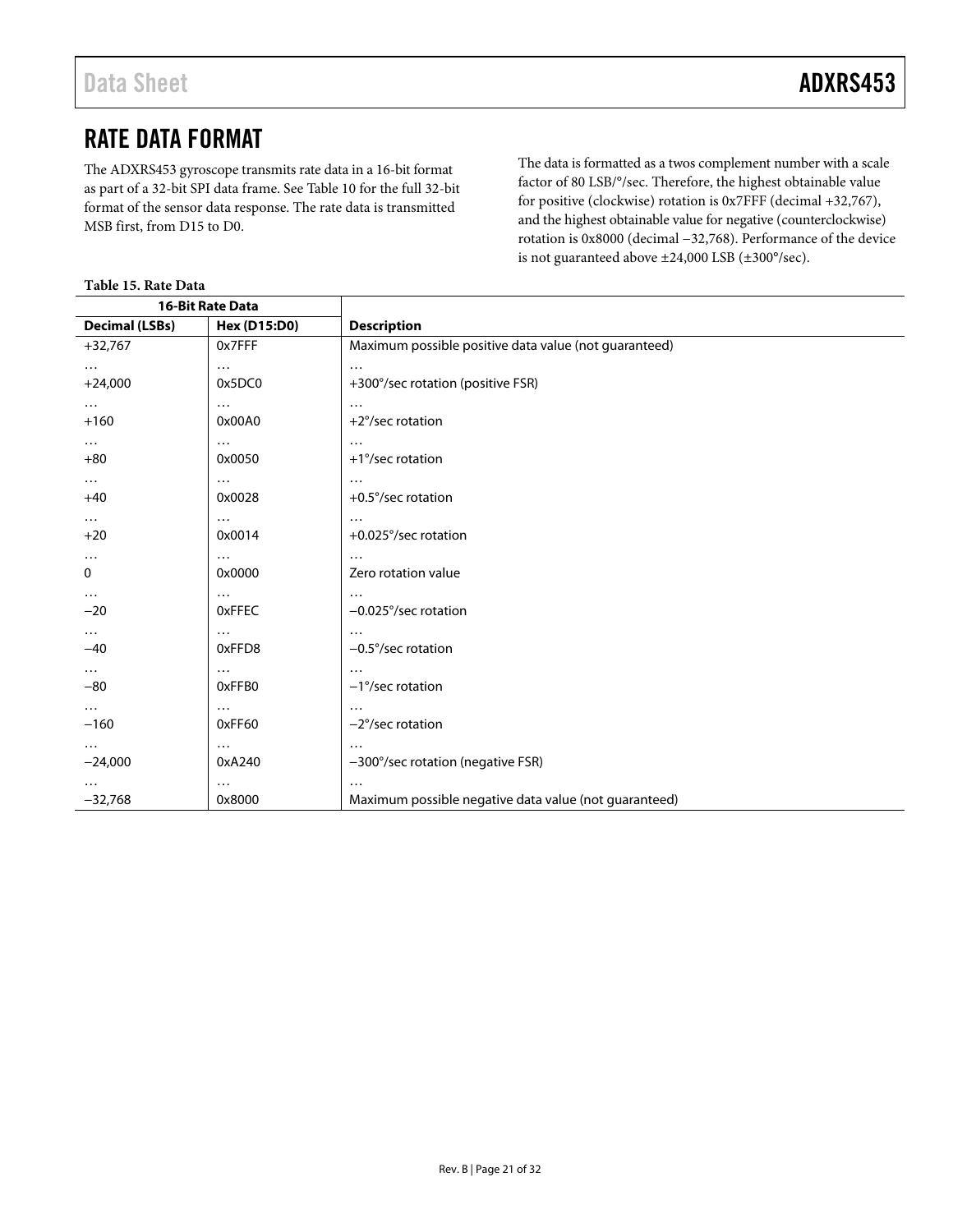### <span id="page-20-0"></span>RATE DATA FORMAT

The ADXRS453 gyroscope transmits rate data in a 16-bit format as part of a 32-bit SPI data frame. Se[e Table 10 f](#page-13-4)or the full 32-bit format of the sensor data response. The rate data is transmitted MSB first, from D15 to D0.

The data is formatted as a twos complement number with a scale factor of 80 LSB/°/sec. Therefore, the highest obtainable value for positive (clockwise) rotation is 0x7FFF (decimal +32,767), and the highest obtainable value for negative (counterclockwise) rotation is 0x8000 (decimal −32,768). Performance of the device is not guaranteed above ±24,000 LSB (±300°/sec).

#### **Table 15. Rate Data**

|                       | <b>16-Bit Rate Data</b> |                                                       |
|-----------------------|-------------------------|-------------------------------------------------------|
| <b>Decimal (LSBs)</b> | <b>Hex (D15:D0)</b>     | <b>Description</b>                                    |
| $+32,767$             | 0x7FFF                  | Maximum possible positive data value (not guaranteed) |
| $\cdots$              | $\cdots$                | $\cdots$                                              |
| $+24,000$             | 0x5DC0                  | +300°/sec rotation (positive FSR)                     |
| .                     | $\cdots$                | .                                                     |
| $+160$                | 0x00A0                  | $+2^{\circ}/sec$ rotation                             |
| $\cdots$              | $\cdots$                |                                                       |
| $+80$                 | 0x0050                  | +1°/sec rotation                                      |
| $\cdots$              | $\cdots$                | $\cdots$                                              |
| $+40$                 | 0x0028                  | +0.5°/sec rotation                                    |
| $\cdots$              | $\cdots$                | .                                                     |
| $+20$                 | 0x0014                  | +0.025°/sec rotation                                  |
| .<br>0                | $\cdots$<br>0x0000      | .<br>Zero rotation value                              |
|                       |                         |                                                       |
| $\cdots$<br>$-20$     | $\cdots$<br>0xFFEC      | .<br>$-0.025^{\circ}/sec$ rotation                    |
| $\cdots$              | $\cdots$                | $\cdots$                                              |
| $-40$                 | 0xFFD8                  | $-0.5^{\circ}/sec$ rotation                           |
| $\cdots$              | $\cdots$                | .                                                     |
| $-80$                 | 0xFFB0                  | $-1^{\circ}/sec$ rotation                             |
| $\cdots$              | $\cdots$                | .                                                     |
| $-160$                | 0xFF60                  | $-2^{\circ}/sec$ rotation                             |
| .                     | $\cdots$                | $\cdots$                                              |
| $-24,000$             | 0xA240                  | -300°/sec rotation (negative FSR)                     |
| .                     | $\cdots$                | $\cdots$                                              |
| $-32,768$             | 0x8000                  | Maximum possible negative data value (not guaranteed) |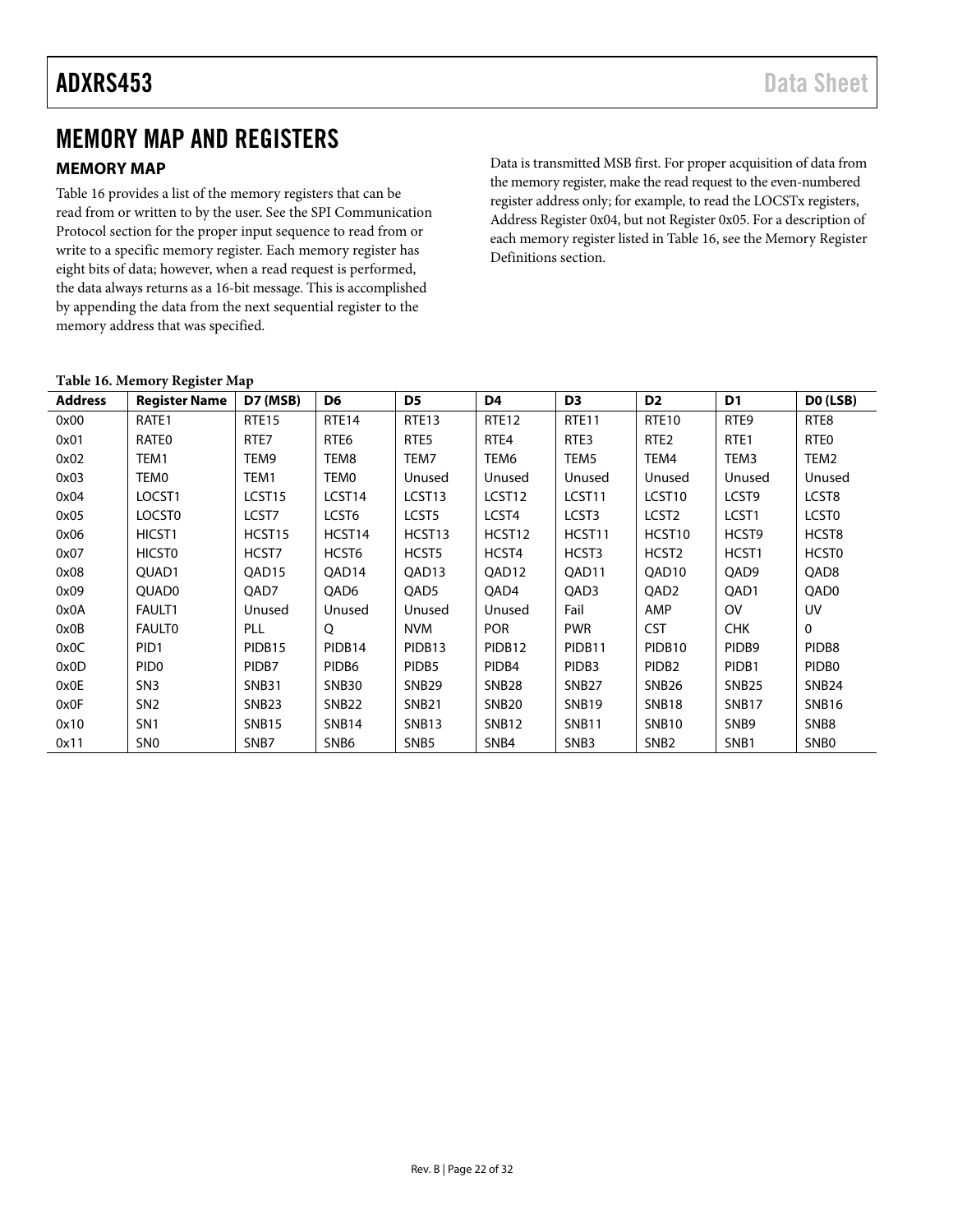### <span id="page-21-0"></span>MEMORY MAP AND REGISTERS

#### <span id="page-21-1"></span>**MEMORY MAP**

[Table 16 p](#page-21-2)rovides a list of the memory registers that can be read from or written to by the user. See the [SPI Communication](#page-13-0)  [Protocol s](#page-13-0)ection for the proper input sequence to read from or write to a specific memory register. Each memory register has eight bits of data; however, when a read request is performed, the data always returns as a 16-bit message. This is accomplished by appending the data from the next sequential register to the memory address that was specified.

Data is transmitted MSB first. For proper acquisition of data from the memory register, make the read request to the even-numbered register address only; for example, to read the LOCSTx registers, Address Register 0x04, but not Register 0x05. For a description of each memory register listed i[n Table 16,](#page-21-2) see th[e Memory Register](#page-22-0)  [Definitions](#page-22-0) section.

|                | Twore To: <i>Memory</i> Regiorer <i>map</i> |                    |                    |                    |                    |                   |                    |                   |                   |
|----------------|---------------------------------------------|--------------------|--------------------|--------------------|--------------------|-------------------|--------------------|-------------------|-------------------|
| <b>Address</b> | <b>Register Name</b>                        | D7 (MSB)           | D <sub>6</sub>     | D <sub>5</sub>     | D4                 | D <sub>3</sub>    | D <sub>2</sub>     | D <sub>1</sub>    | DO (LSB)          |
| 0x00           | RATE1                                       | <b>RTE15</b>       | RTE <sub>14</sub>  | RTE <sub>13</sub>  | RTE <sub>12</sub>  | RTE <sub>11</sub> | <b>RTE10</b>       | RTE9              | RTE8              |
| 0x01           | <b>RATEO</b>                                | RTE7               | RTE6               | RTE5               | RTE4               | RTE3              | RTE <sub>2</sub>   | RTE <sub>1</sub>  | RTE <sub>0</sub>  |
| 0x02           | TEM1                                        | TEM9               | TEM8               | TEM7               | TEM6               | TEM5              | TEM4               | TEM3              | TEM2              |
| 0x03           | <b>TEM0</b>                                 | TEM1               | TEMO               | Unused             | Unused             | Unused            | Unused             | Unused            | Unused            |
| 0x04           | LOCST1                                      | LCST <sub>15</sub> | LCST <sub>14</sub> | LCST13             | LCST <sub>12</sub> | LCST11            | LCST10             | LCST9             | LCST8             |
| 0x05           | LOCST <sub>0</sub>                          | LCST7              | LCST6              | LCST5              | LCST4              | LCST3             | LCST <sub>2</sub>  | LCST1             | <b>LCST0</b>      |
| 0x06           | HICST <sub>1</sub>                          | HCST15             | HCST14             | HCST13             | HCST12             | HCST11            | HCST <sub>10</sub> | HCST9             | HCST8             |
| 0x07           | <b>HICSTO</b>                               | HCST7              | HCST6              | HCST5              | HCST4              | HCST3             | HCST <sub>2</sub>  | HCST <sub>1</sub> | <b>HCST0</b>      |
| 0x08           | OUAD <sub>1</sub>                           | OAD15              | QAD14              | QAD13              | QAD12              | QAD11             | QAD10              | QAD9              | QAD <sub>8</sub>  |
| 0x09           | QUAD <sub>0</sub>                           | QAD7               | QAD6               | QAD5               | QAD4               | QAD3              | QAD <sub>2</sub>   | QAD1              | QAD0              |
| 0x0A           | <b>FAULT1</b>                               | Unused             | Unused             | Unused             | Unused             | Fail              | AMP                | <b>OV</b>         | UV                |
| 0x0B           | <b>FAULTO</b>                               | <b>PLL</b>         | Q                  | <b>NVM</b>         | <b>POR</b>         | <b>PWR</b>        | <b>CST</b>         | <b>CHK</b>        | 0                 |
| 0x0C           | PID <sub>1</sub>                            | PIDB <sub>15</sub> | PIDB14             | PIDB <sub>13</sub> | PIDB <sub>12</sub> | PIDB11            | PIDB <sub>10</sub> | PIDB <sub>9</sub> | PIDB8             |
| 0x0D           | PID <sub>0</sub>                            | PIDB7              | PIDB <sub>6</sub>  | PIDB <sub>5</sub>  | PIDB4              | PIDB3             | PIDB <sub>2</sub>  | PIDB1             | PIDB <sub>0</sub> |
| 0x0E           | SN <sub>3</sub>                             | <b>SNB31</b>       | SNB <sub>30</sub>  | SNB <sub>29</sub>  | SNB <sub>28</sub>  | SNB <sub>27</sub> | SNB <sub>26</sub>  | SNB <sub>25</sub> | SNB <sub>24</sub> |
| 0x0F           | SN <sub>2</sub>                             | SNB <sub>23</sub>  | SNB <sub>22</sub>  | <b>SNB21</b>       | <b>SNB20</b>       | <b>SNB19</b>      | SNB <sub>18</sub>  | SNB17             | <b>SNB16</b>      |
| 0x10           | SN <sub>1</sub>                             | <b>SNB15</b>       | SNB <sub>14</sub>  | SNB <sub>13</sub>  | SNB <sub>12</sub>  | <b>SNB11</b>      | SNB <sub>10</sub>  | SNB <sub>9</sub>  | SNB8              |
| 0x11           | SN <sub>0</sub>                             | SNB7               | SNB <sub>6</sub>   | SNB <sub>5</sub>   | SNB4               | SNB3              | SNB <sub>2</sub>   | SNB <sub>1</sub>  | SNB0              |

#### <span id="page-21-2"></span>**Table 16. Memory Register Map**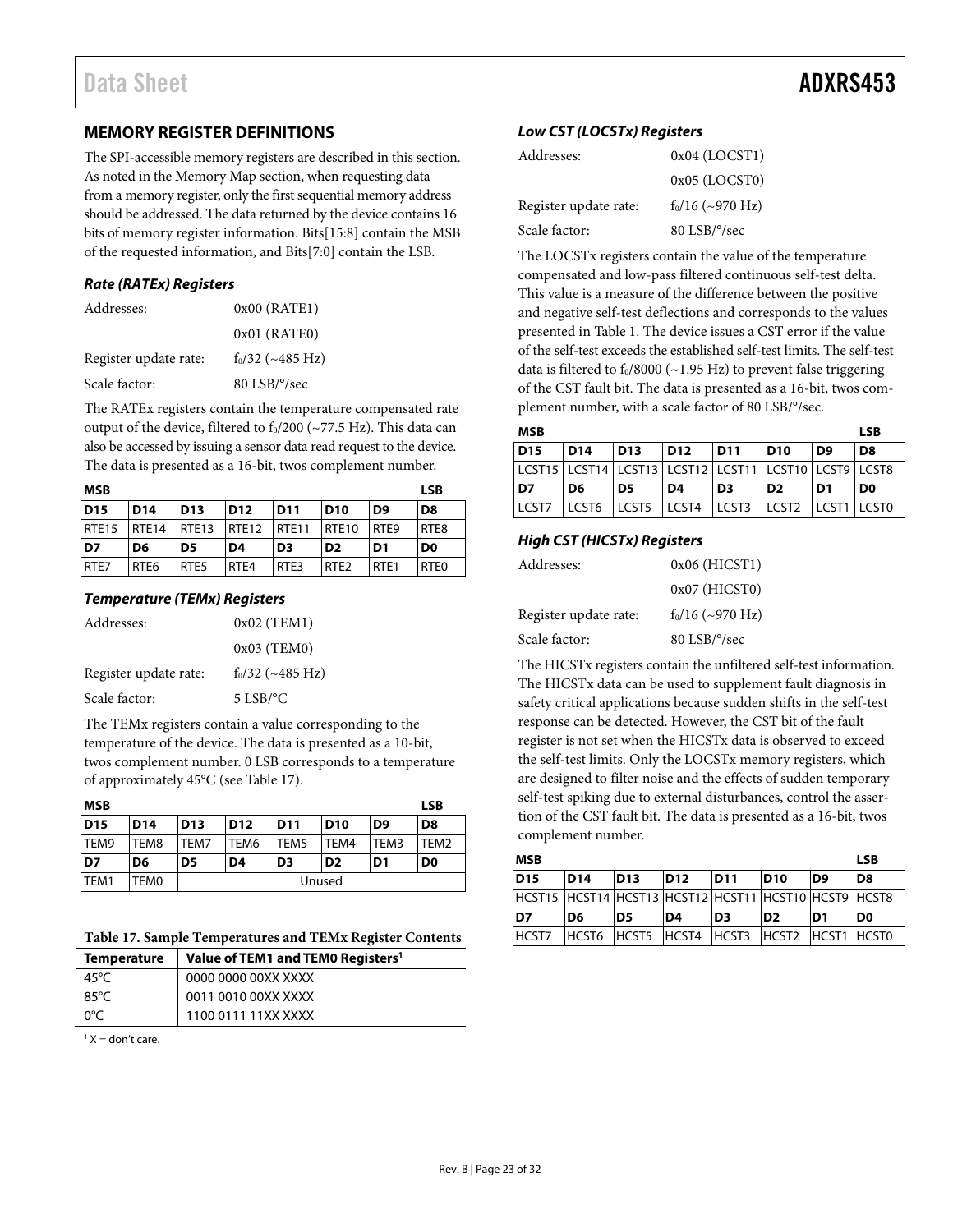#### <span id="page-22-0"></span>**MEMORY REGISTER DEFINITIONS**

The SPI-accessible memory registers are described in this section. As noted in th[e Memory Map s](#page-21-1)ection, when requesting data from a memory register, only the first sequential memory address should be addressed. The data returned by the device contains 16 bits of memory register information. Bits[15:8] contain the MSB of the requested information, and Bits[7:0] contain the LSB.

#### **Rate (RATEx) Registers**

| Addresses:            | $0x00$ (RATE1)            |
|-----------------------|---------------------------|
|                       | $0x01$ (RATEO)            |
| Register update rate: | $f_0/32$ (~485 Hz)        |
| Scale factor:         | 80 LSB/ <sup>o</sup> /sec |

The RATEx registers contain the temperature compensated rate output of the device, filtered to  $f_0/200$  (~77.5 Hz). This data can also be accessed by issuing a sensor data read request to the device. The data is presented as a 16-bit, twos complement number.

| <b>MSB</b>        |                   |                  |                |                 |                  |                  | <b>LSB</b>       |
|-------------------|-------------------|------------------|----------------|-----------------|------------------|------------------|------------------|
| <b>D15</b>        | D <sub>14</sub>   | <b>D13</b>       | <b>D12</b>     | D <sub>11</sub> | <b>D10</b>       | D <sub>9</sub>   | D <sub>8</sub>   |
| RTE <sub>15</sub> | RTE <sub>14</sub> | <b>RTE13</b>     | <b>RTE12</b>   | RTE11           | <b>RTE10</b>     | RTE <sub>9</sub> | RTE <sub>8</sub> |
| D7                | D6                | D <sub>5</sub>   | D <sub>4</sub> | D <sub>3</sub>  | D <sub>2</sub>   | D1               | D <sub>0</sub>   |
| RTE7              | RTE <sub>6</sub>  | RTE <sub>5</sub> | RTF4           | RTF3            | RTE <sub>2</sub> | RTF <sub>1</sub> | RTE <sub>0</sub> |

#### **Temperature (TEMx) Registers**

| Addresses:            | $0x02$ (TEM1)      |
|-----------------------|--------------------|
|                       | $0x03$ (TEM0)      |
| Register update rate: | $f_0/32$ (~485 Hz) |
| Scale factor:         | $5$ LSB/°C         |

The TEMx registers contain a value corresponding to the temperature of the device. The data is presented as a 10-bit, twos complement number. 0 LSB corresponds to a temperature of approximately 45°C (see [Table 17\)](#page-22-1).

| <b>MSB</b> |                 |                 |                |                  |                |                | <b>LSB</b>       |
|------------|-----------------|-----------------|----------------|------------------|----------------|----------------|------------------|
| <b>D15</b> | D <sub>14</sub> | D <sub>13</sub> | <b>D12</b>     | D <sub>11</sub>  | <b>D10</b>     | D <sub>9</sub> | D8               |
| TEM9       | TEM8            | TEM7            | TEM6           | TEM <sub>5</sub> | TEM4           | TEM3           | TEM <sub>2</sub> |
| D7         | D6              | D5              | D <sub>4</sub> | D <sub>3</sub>   | D <sub>2</sub> | D <sub>1</sub> | D <sub>0</sub>   |
| TEM1       | TEM0            | Unused          |                |                  |                |                |                  |

#### <span id="page-22-1"></span>**Table 17. Sample Temperatures and TEMx Register Contents**

| <b>Temperature</b> | Value of TEM1 and TEM0 Registers <sup>1</sup> |
|--------------------|-----------------------------------------------|
| 45°C               | 0000 0000 00XX XXXX                           |
| 85°C               | 0011 0010 00XX XXXX                           |
| റ°⊂                | 1100 0111 11XX XXXX                           |

 $1 X =$  don't care.

#### **Low CST (LOCSTx) Registers**

| Addresses:            | 0x04 (LOCST1)             |
|-----------------------|---------------------------|
|                       | $0x05$ (LOCST0)           |
| Register update rate: | $f_0/16$ (~970 Hz)        |
| Scale factor:         | 80 LSB/ <sup>o</sup> /sec |
|                       |                           |

The LOCSTx registers contain the value of the temperature compensated and low-pass filtered continuous self-test delta. This value is a measure of the difference between the positive and negative self-test deflections and corresponds to the values presented in [Table 1.](#page-2-1) The device issues a CST error if the value of the self-test exceeds the established self-test limits. The self-test data is filtered to  $f_0/8000$  (~1.95 Hz) to prevent false triggering of the CST fault bit. The data is presented as a 16-bit, twos complement number, with a scale factor of 80 LSB/°/sec.

| MSB                                                   |                 |                                                       |                 |                |                 |    | <b>LSB</b>     |
|-------------------------------------------------------|-----------------|-------------------------------------------------------|-----------------|----------------|-----------------|----|----------------|
| <b>D15</b>                                            | D <sub>14</sub> | D <sub>13</sub>                                       | D <sub>12</sub> | D11            | D <sub>10</sub> | D9 | D8             |
| LCST15 LCST14 LCST13 LCST12 LCST11 LCST10 LCST9 LCST8 |                 |                                                       |                 |                |                 |    |                |
| D <sub>7</sub>                                        | D6              | D <sub>5</sub>                                        | D4              | D <sub>3</sub> | D <sub>2</sub>  | D1 | D <sub>0</sub> |
| <b>ICST7</b>                                          |                 | LCST6   LCST5   LCST4   LCST3   LCST2   LCST1   LCST0 |                 |                |                 |    |                |

#### **High CST (HICSTx) Registers**

| Addresses:            | $0x06$ (HICST1)          |
|-----------------------|--------------------------|
|                       | $0x07$ (HICST0)          |
| Register update rate: | $f_0/16$ (~970 Hz)       |
| Scale factor:         | $80$ LSB/ $\degree$ /sec |

The HICSTx registers contain the unfiltered self-test information. The HICSTx data can be used to supplement fault diagnosis in safety critical applications because sudden shifts in the self-test response can be detected. However, the CST bit of the fault register is not set when the HICSTx data is observed to exceed the self-test limits. Only the LOCSTx memory registers, which are designed to filter noise and the effects of sudden temporary self-test spiking due to external disturbances, control the assertion of the CST fault bit. The data is presented as a 16-bit, twos complement number.

| <b>MSB</b>                                            |                                           |                 |                 |                 |                 | <b>LSB</b>     |                |
|-------------------------------------------------------|-------------------------------------------|-----------------|-----------------|-----------------|-----------------|----------------|----------------|
| <b>D15</b>                                            | D <sub>14</sub>                           | D <sub>13</sub> | D <sub>12</sub> | D <sub>11</sub> | D <sub>10</sub> | D <sub>9</sub> | D8             |
| HCST15 HCST14 HCST13 HCST12 HCST11 HCST10 HCST9 HCST8 |                                           |                 |                 |                 |                 |                |                |
| D7                                                    | D <sub>6</sub>                            | D5              | ID4             | D <sub>3</sub>  | D2              | ID1            | D <sub>0</sub> |
| <b>HCST7</b>                                          | HCST6 HCST5 HCST4 HCST3 HCST2 HCST1 HCST0 |                 |                 |                 |                 |                |                |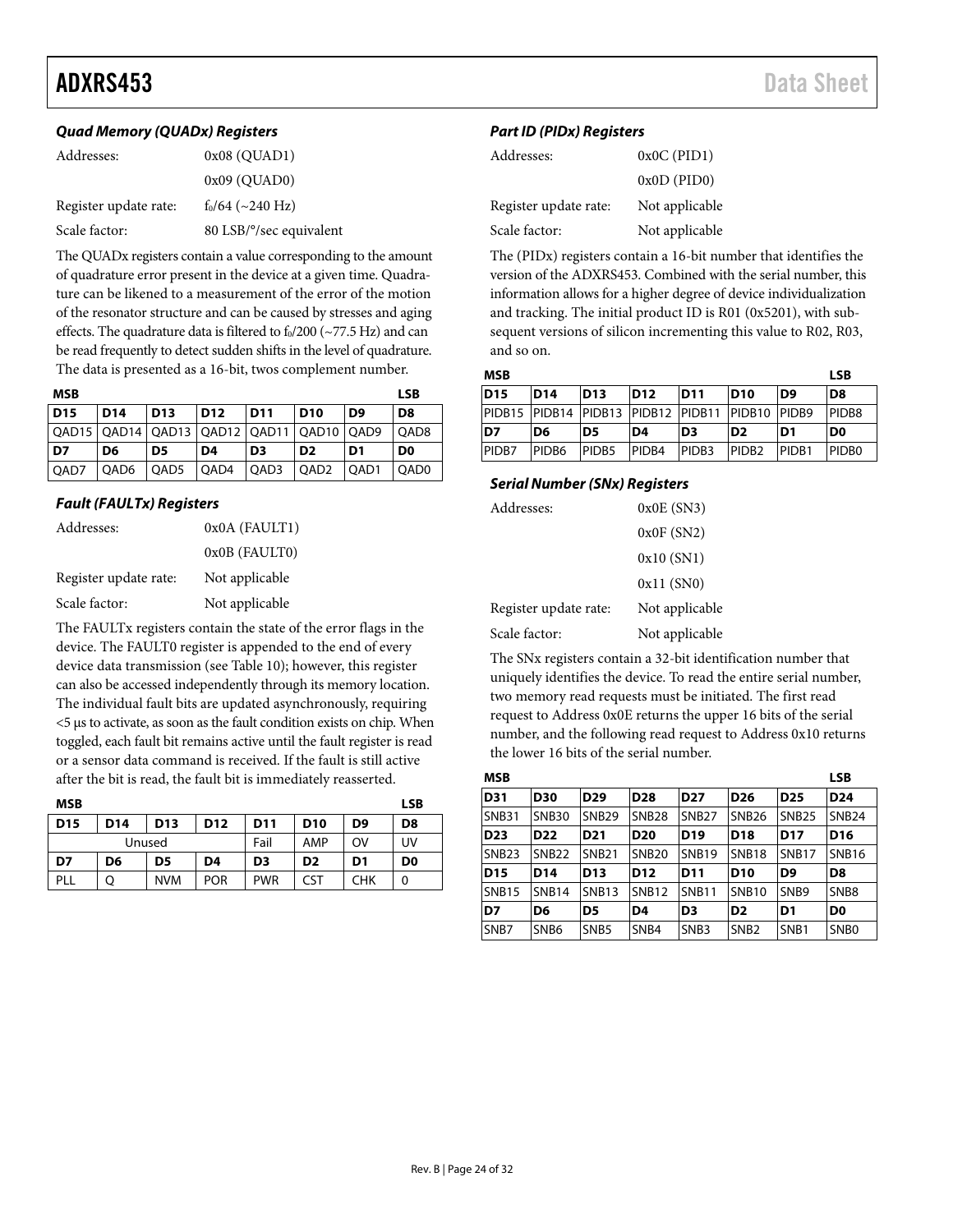### ADXRS453 Data Sheet

#### **Quad Memory (QUADx) Registers**

| Addresses:            | $0x08$ (QUAD1)                    |
|-----------------------|-----------------------------------|
|                       | $0x09$ ( $\text{OUAD0}$ )         |
| Register update rate: | $f_0/64$ (~240 Hz)                |
| Scale factor:         | 80 LSB/ $\degree$ /sec equivalent |

The QUADx registers contain a value corresponding to the amount of quadrature error present in the device at a given time. Quadrature can be likened to a measurement of the error of the motion of the resonator structure and can be caused by stresses and aging effects. The quadrature data is filtered to  $f_0/200$  ( $\sim$ 77.5 Hz) and can be read frequently to detect sudden shifts in the level of quadrature. The data is presented as a 16-bit, twos complement number.

| MSB             |                 |            |      |                 |                                                      |                | <b>LSB</b>       |
|-----------------|-----------------|------------|------|-----------------|------------------------------------------------------|----------------|------------------|
| D <sub>15</sub> | D <sub>14</sub> | <b>D13</b> | D12  | D <sub>11</sub> | <b>D10</b>                                           | D <sub>9</sub> | D8               |
|                 |                 |            |      |                 | QAD15   QAD14   QAD13   QAD12   QAD11   QAD10   QAD9 |                | OAD <sub>8</sub> |
| D7              | D6              | D5         | D4   | D <sub>3</sub>  | D <sub>2</sub>                                       | D1             | D <sub>0</sub>   |
| QAD7            | QAD6            | QAD5       | QAD4 | QAD3            | QAD <sub>2</sub>                                     | QAD1           | OAD0             |

#### **Fault (FAULTx) Registers**

| Addresses:            | 0x0A (FAULT1)  |
|-----------------------|----------------|
|                       | 0x0B (FAULT0)  |
| Register update rate: | Not applicable |
| Scale factor:         | Not applicable |

The FAULTx registers contain the state of the error flags in the device. The FAULT0 register is appended to the end of every device data transmission (se[e Table 10\)](#page-13-4); however, this register can also be accessed independently through its memory location. The individual fault bits are updated asynchronously, requiring <5 μs to activate, as soon as the fault condition exists on chip. When toggled, each fault bit remains active until the fault register is read or a sensor data command is received. If the fault is still active after the bit is read, the fault bit is immediately reasserted.

| <b>MSB</b>      |                 |                 |                 |                 |                 |                | <b>LSB</b>     |
|-----------------|-----------------|-----------------|-----------------|-----------------|-----------------|----------------|----------------|
| D <sub>15</sub> | D <sub>14</sub> | D <sub>13</sub> | D <sub>12</sub> | D <sub>11</sub> | D <sub>10</sub> | D <sub>9</sub> | D8             |
| Unused          |                 |                 | Fail            | AMP             | OV              | UV             |                |
| D7              | D <sub>6</sub>  | D5              | D <sub>4</sub>  | D <sub>3</sub>  | D <sub>2</sub>  | D1             | D <sub>0</sub> |
| PLL             | Q               | <b>NVM</b>      | <b>POR</b>      | <b>PWR</b>      | CST             | CHK            | 0              |

#### **Part ID (PIDx) Registers**

| Addresses:            | $0x0C$ (PID1)  |
|-----------------------|----------------|
|                       | $0x0D$ (PID0)  |
| Register update rate: | Not applicable |
| Scale factor:         | Not applicable |

The (PIDx) registers contain a 16-bit number that identifies the version of the ADXRS453. Combined with the serial number, this information allows for a higher degree of device individualization and tracking. The initial product ID is R01 (0x5201), with subsequent versions of silicon incrementing this value to R02, R03, and so on.

| <b>MSB</b> |                 |                 |                                                 |                   |                   | <b>LSB</b>        |                   |
|------------|-----------------|-----------------|-------------------------------------------------|-------------------|-------------------|-------------------|-------------------|
| <b>D15</b> | D <sub>14</sub> | D <sub>13</sub> | D <sub>12</sub>                                 | D <sub>11</sub>   | D <sub>10</sub>   | D <sub>9</sub>    | D <sub>8</sub>    |
|            |                 |                 | PIDB15 PIDB14 PIDB13 PIDB12 PIDB11 PIDB10 PIDB9 |                   |                   |                   | PIDB <sub>8</sub> |
| D7         | D6              | D <sub>5</sub>  | ID4                                             | ID3               | ID2               | D1                | D <sub>0</sub>    |
| PIDB7      | <b>PIDB6</b>    | <b>PIDB5</b>    | PID <sub>B4</sub>                               | PIDB <sub>3</sub> | PIDB <sub>2</sub> | PID <sub>B1</sub> | <b>PIDBO</b>      |

#### **Serial Number (SNx) Registers**

| Addresses:            | $0x0E$ (SN3)   |
|-----------------------|----------------|
|                       | 0x0F(SN2)      |
|                       | 0x10(SN1)      |
|                       | 0x11(SN0)      |
| Register update rate: | Not applicable |
| Scale factor:         | Not applicable |

The SNx registers contain a 32-bit identification number that uniquely identifies the device. To read the entire serial number, two memory read requests must be initiated. The first read request to Address 0x0E returns the upper 16 bits of the serial number, and the following read request to Address 0x10 returns the lower 16 bits of the serial number.

| <b>MSB</b>        |                  |                   |                 |                   |                   |                   | <b>LSB</b>        |
|-------------------|------------------|-------------------|-----------------|-------------------|-------------------|-------------------|-------------------|
| <b>D31</b>        | <b>D30</b>       | D <sub>29</sub>   | <b>D28</b>      | D <sub>27</sub>   | D <sub>26</sub>   | D <sub>25</sub>   | D <sub>24</sub>   |
| <b>SNB31</b>      | <b>SNB30</b>     | <b>SNB29</b>      | <b>SNB28</b>    | SNB <sub>27</sub> | <b>SNB26</b>      | <b>SNB25</b>      | <b>SNB24</b>      |
| D <sub>23</sub>   | D <sub>22</sub>  | D <sub>21</sub>   | D <sub>20</sub> | D <sub>19</sub>   | D <sub>18</sub>   | <b>D17</b>        | D <sub>16</sub>   |
| SNB <sub>23</sub> | <b>SNB22</b>     | SNB <sub>21</sub> | <b>SNB20</b>    | <b>SNB19</b>      | SNB <sub>18</sub> | SNB <sub>17</sub> | <b>SNB16</b>      |
| D <sub>15</sub>   | D <sub>14</sub>  | <b>D13</b>        | D <sub>12</sub> | D <sub>11</sub>   | <b>D10</b>        | D9                | D <sub>8</sub>    |
| SNB <sub>15</sub> | <b>SNB14</b>     | <b>SNB13</b>      | <b>SNB12</b>    | <b>SNB11</b>      | SNB <sub>10</sub> | SNB <sub>9</sub>  | SNB <sub>8</sub>  |
| D7                | D6               | D5                | D4              | D <sub>3</sub>    | D <sub>2</sub>    | D1                | D <sub>0</sub>    |
| SNB7              | SNB <sub>6</sub> | SNB <sub>5</sub>  | SNB4            | SNB <sub>3</sub>  | SNB <sub>2</sub>  | SNB <sub>1</sub>  | SN <sub>B</sub> 0 |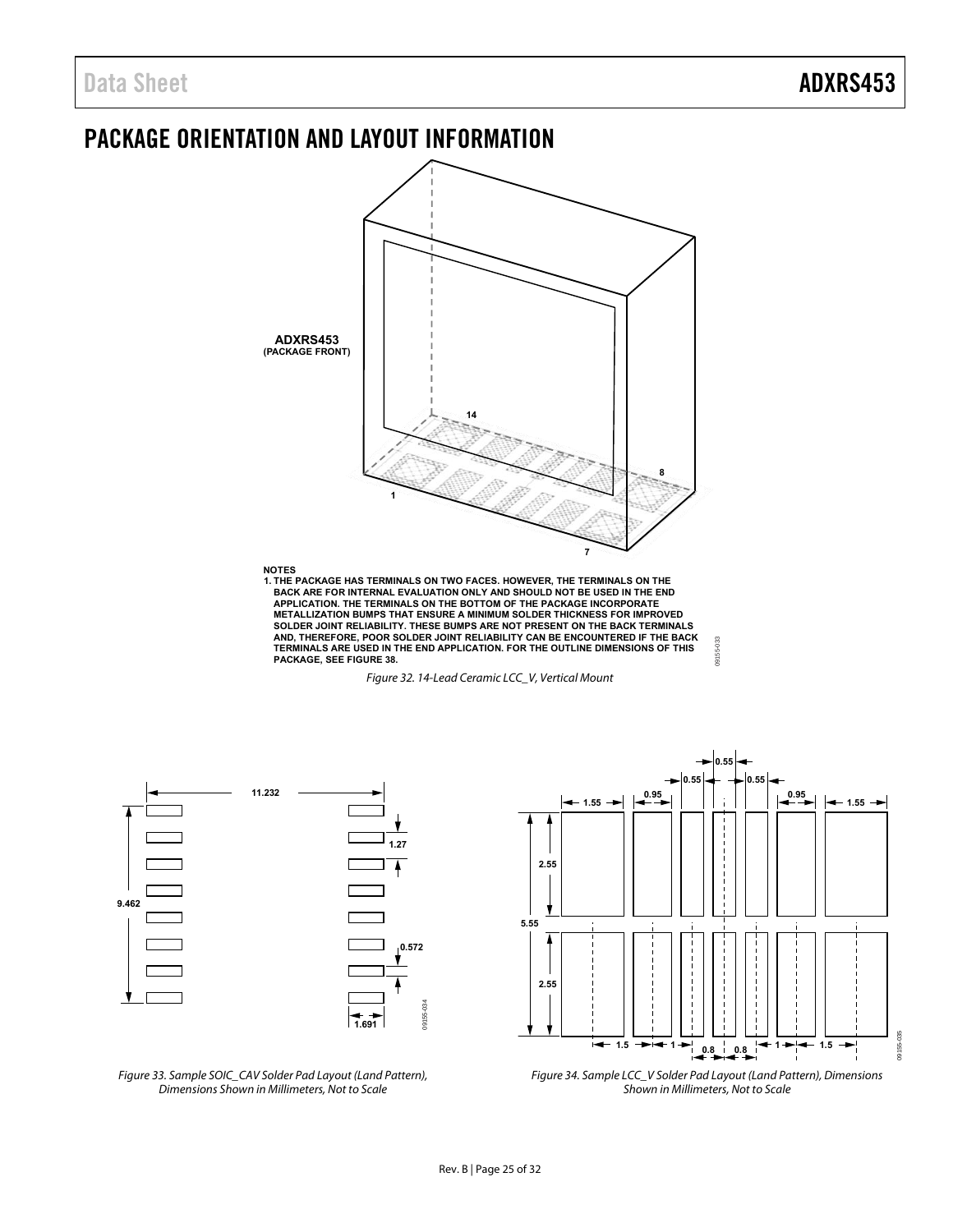### <span id="page-24-0"></span>PACKAGE ORIENTATION AND LAYOUT INFORMATION



1. THE PACKAGE HAS TERMINALS ON TWO FACES. HOWEVER, THE TERMINALS ON THE BACK ARE FOR INTERNITURAL SOLTAING A<br>BACK ARE FOR INTERNAL EVALUATION ONLY AND SHOULD NOT BE USED IN THE END<br>APPLICATION. THE TERMINALS ON THE BOTTOM **METALLIZATION BUMPS THAT ENSURE A MINIMUM SOLDER THICKNESS FOR IMPROVED SOLDER JOINT RELIABILITY. THESE BUMPS ARE NOT PRESENT ON THE BACK TERMINALS AND, THEREFORE, POOR SOLDER JOINT RELIABILITY CAN BE ENCOUNTERED IF THE BACK TERMINALS ARE USED IN THE END APPLICATION. FOR THE OUTLINE DIMENSIONS OF THIS PACKAGE, SEE FIGURE 38.**

Figure 32. 14-Lead Ceramic LCC\_V, Vertical Mount



Figure 33. Sample SOIC\_CAV Solder Pad Layout (Land Pattern), Dimensions Shown in Millimeters, Not to Scale



09155-033

9155-033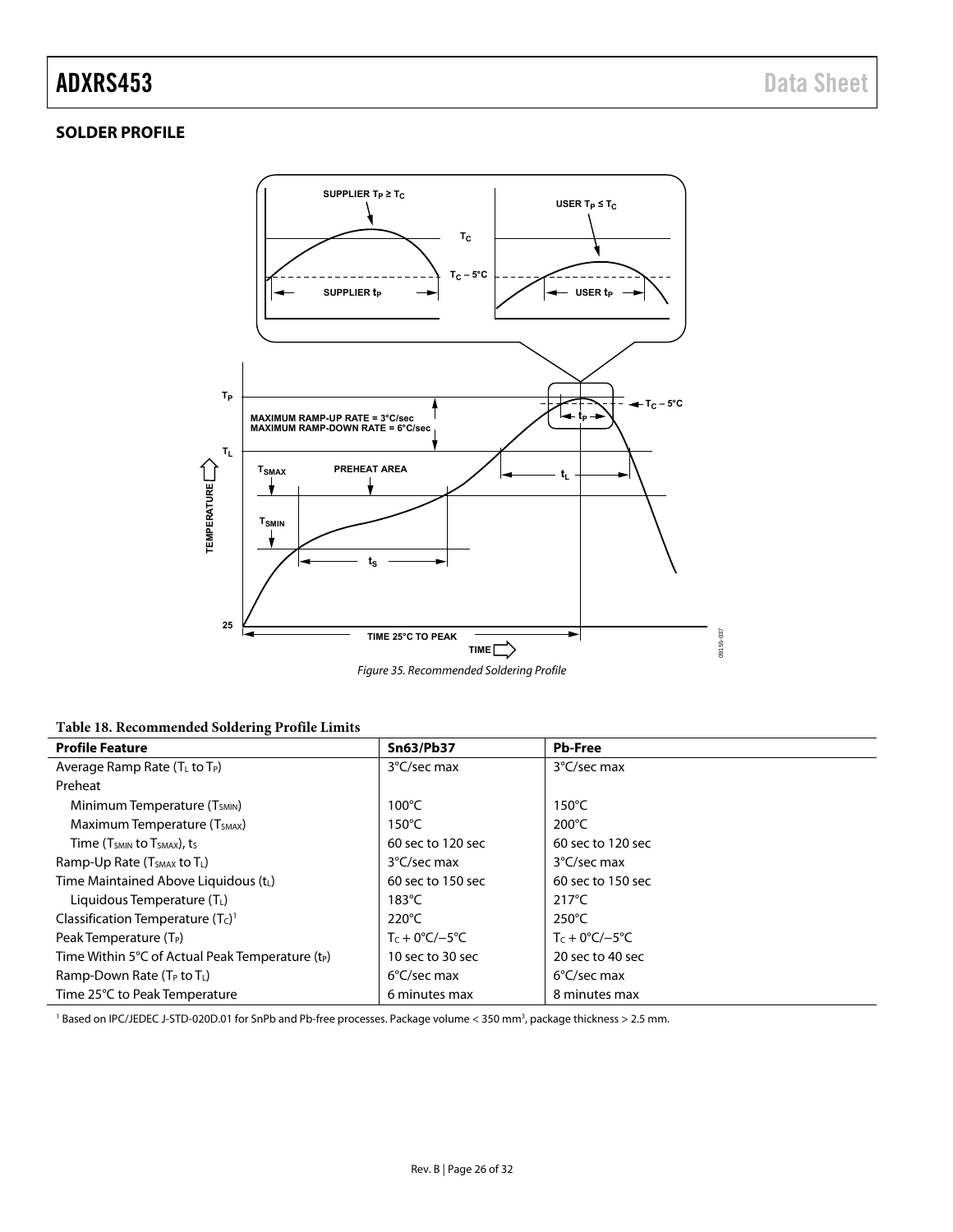### ADXRS453 Data Sheet

#### <span id="page-25-0"></span>**SOLDER PROFILE**



**Table 18. Recommended Soldering Profile Limits** 

| <b>Profile Feature</b>                              | <b>Sn63/Pb37</b>              | <b>Pb-Free</b>                 |
|-----------------------------------------------------|-------------------------------|--------------------------------|
| Average Ramp Rate $(T_L$ to $T_P)$                  | 3°C/sec max                   | 3°C/sec max                    |
| Preheat                                             |                               |                                |
| Minimum Temperature (T <sub>SMIN</sub> )            | $100^{\circ}$ C               | $150^{\circ}$ C                |
| Maximum Temperature (T <sub>SMAX</sub> )            | $150^{\circ}$ C               | $200^{\circ}$ C                |
| Time ( $T_{SMIN}$ to $T_{SMAX}$ ), ts               | 60 sec to 120 sec             | 60 sec to 120 sec              |
| Ramp-Up Rate (T <sub>SMAX</sub> to T <sub>L</sub> ) | 3°C/sec max                   | 3°C/sec max                    |
| Time Maintained Above Liquidous (t <sub>L</sub> )   | 60 sec to 150 sec             | 60 sec to 150 sec              |
| Liquidous Temperature $(T_L)$                       | $183^{\circ}$ C               | $217^{\circ}$ C                |
| Classification Temperature $(TC)1$                  | $220^{\circ}$ C               | 250°C                          |
| Peak Temperature (T <sub>P</sub> )                  | $Tc + 0^{\circ}C/-5^{\circ}C$ | $T_c + 0^{\circ}C/-5^{\circ}C$ |
| Time Within 5°C of Actual Peak Temperature $(t_P)$  | 10 sec to 30 sec              | 20 sec to 40 sec               |
| Ramp-Down Rate (T <sub>P</sub> to T <sub>L</sub> )  | $6^{\circ}$ C/sec max         | $6^{\circ}$ C/sec max          |
| Time 25°C to Peak Temperature                       | 6 minutes max                 | 8 minutes max                  |

<sup>1</sup> Based on IPC/JEDEC J-STD-020D.01 for SnPb and Pb-free processes. Package volume < 350 mm<sup>3</sup>, package thickness > 2.5 mm.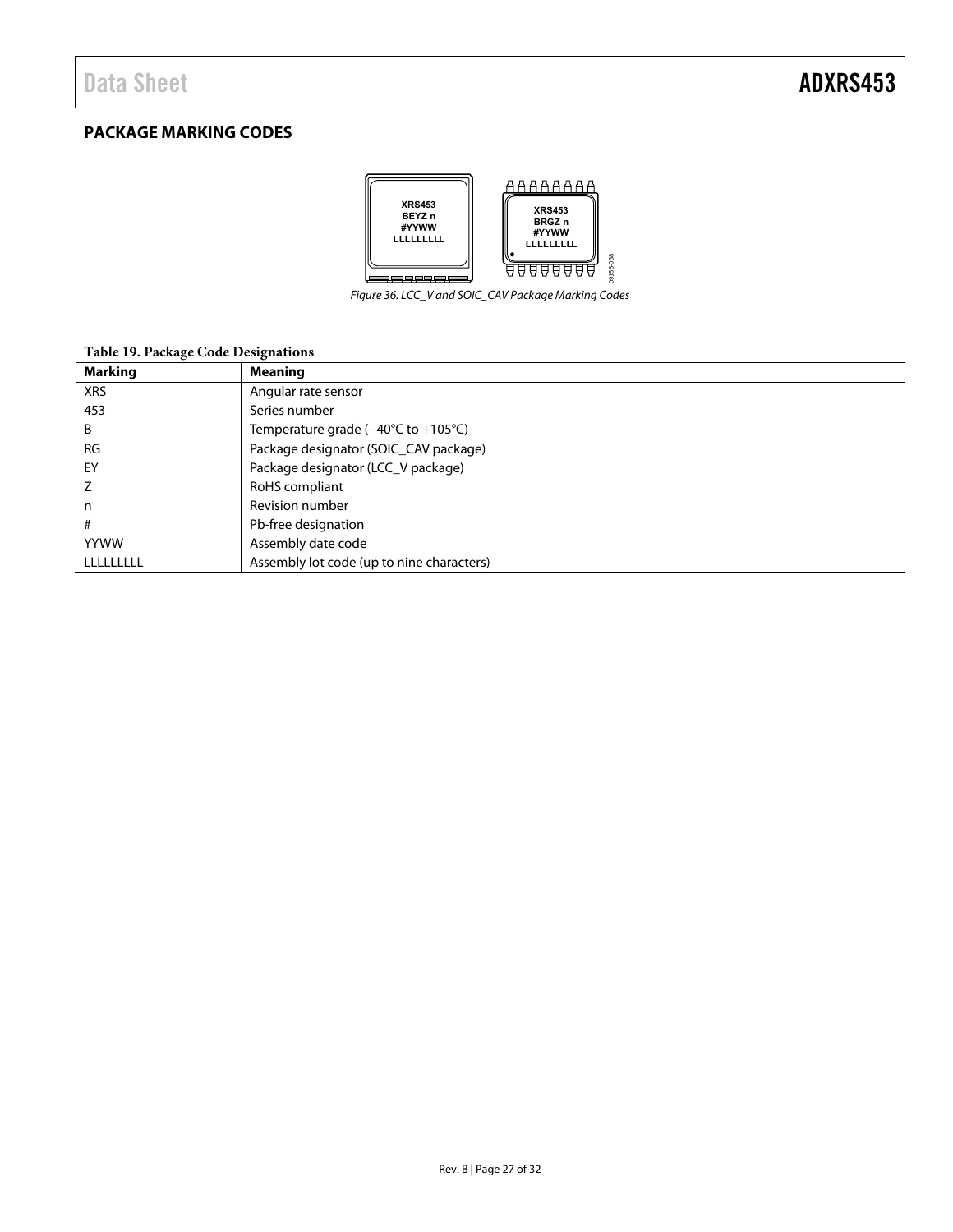### <span id="page-26-0"></span>**PACKAGE MARKING CODES**



Figure 36. LCC\_V and SOIC\_CAV Package Marking Codes

#### **Table 19. Package Code Designations**

| <b>Marking</b> | <b>Meaning</b>                                               |
|----------------|--------------------------------------------------------------|
| <b>XRS</b>     | Angular rate sensor                                          |
| 453            | Series number                                                |
| B              | Temperature grade $(-40^{\circ}C \text{ to } +105^{\circ}C)$ |
| <b>RG</b>      | Package designator (SOIC_CAV package)                        |
| EY             | Package designator (LCC_V package)                           |
|                | RoHS compliant                                               |
| n              | Revision number                                              |
| #              | Pb-free designation                                          |
| <b>YYWW</b>    | Assembly date code                                           |
| LLLLLLLLL      | Assembly lot code (up to nine characters)                    |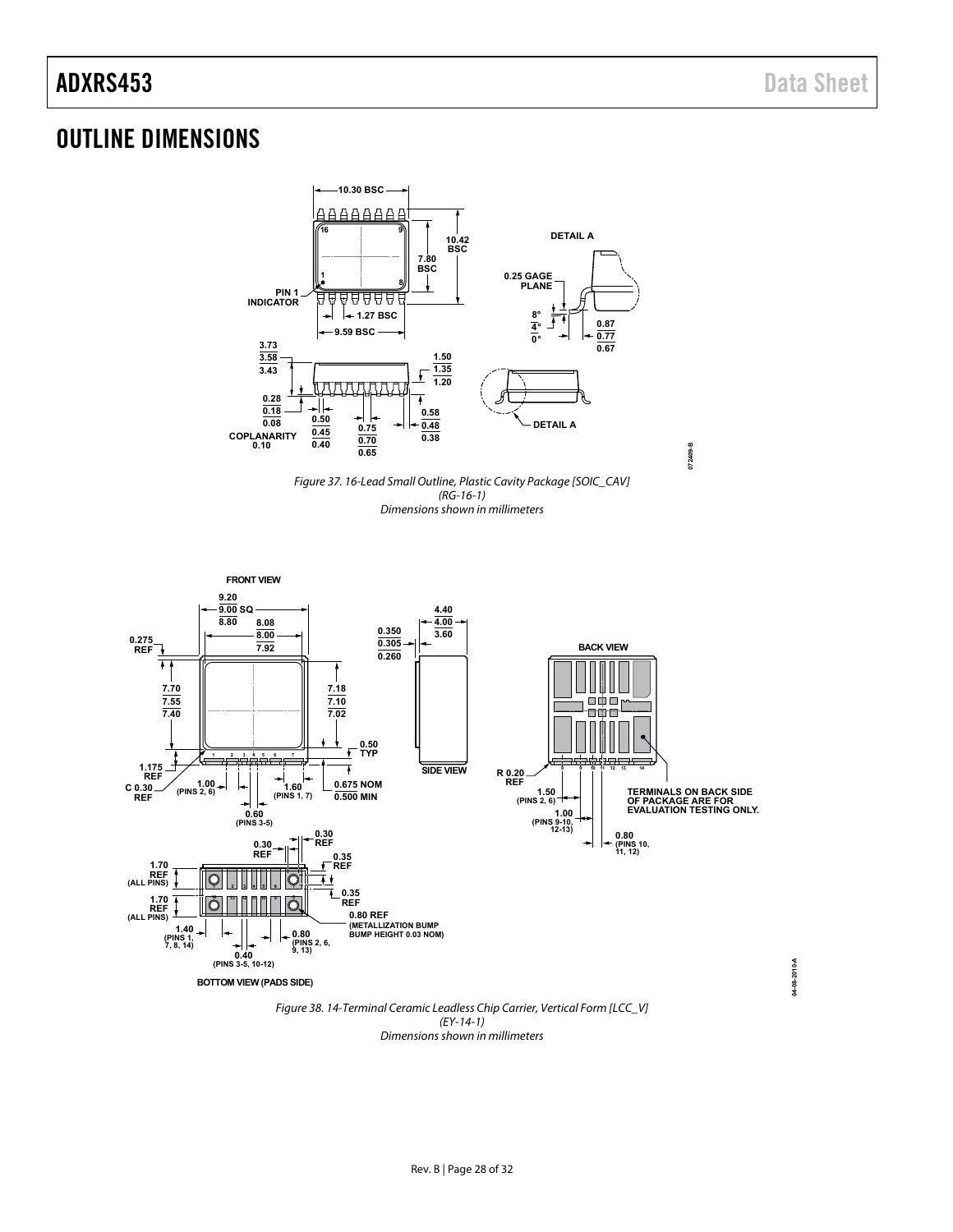**04-08-2010-A**

04-08-2010-A

### <span id="page-27-0"></span>OUTLINE DIMENSIONS







<span id="page-27-1"></span>(EY-14-1) Dimensions shown in millimeters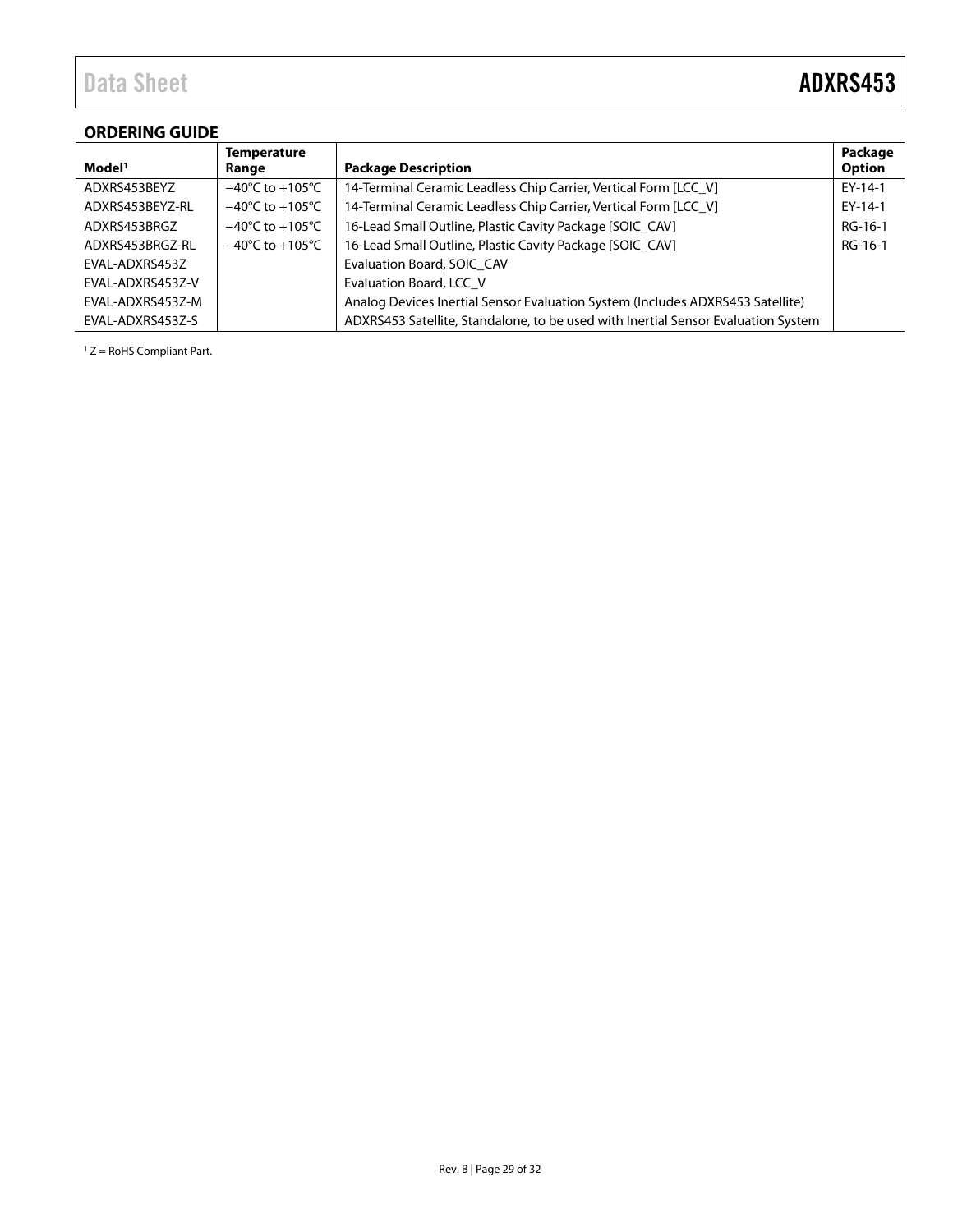## Data Sheet **ADXRS453**

### <span id="page-28-0"></span>**ORDERING GUIDE**

|                    | <b>Temperature</b>                  |                                                                                   | Package       |
|--------------------|-------------------------------------|-----------------------------------------------------------------------------------|---------------|
| Model <sup>1</sup> | Range                               | <b>Package Description</b>                                                        | <b>Option</b> |
| ADXRS453BEYZ       | $-40^{\circ}$ C to $+105^{\circ}$ C | 14-Terminal Ceramic Leadless Chip Carrier, Vertical Form [LCC_V]                  | $EY-14-1$     |
| ADXRS453BEYZ-RL    | $-40^{\circ}$ C to $+105^{\circ}$ C | 14-Terminal Ceramic Leadless Chip Carrier, Vertical Form [LCC_V]                  | $EY-14-1$     |
| ADXRS453BRGZ       | $-40^{\circ}$ C to $+105^{\circ}$ C | 16-Lead Small Outline, Plastic Cavity Package [SOIC CAV]                          | $RG-16-1$     |
| ADXRS453BRGZ-RL    | $-40^{\circ}$ C to $+105^{\circ}$ C | 16-Lead Small Outline, Plastic Cavity Package [SOIC_CAV]                          | RG-16-1       |
| EVAL-ADXRS453Z     |                                     | Evaluation Board, SOIC CAV                                                        |               |
| EVAL-ADXRS453Z-V   |                                     | Evaluation Board, LCC V                                                           |               |
| EVAL-ADXRS453Z-M   |                                     | Analog Devices Inertial Sensor Evaluation System (Includes ADXRS453 Satellite)    |               |
| EVAL-ADXRS453Z-S   |                                     | ADXRS453 Satellite, Standalone, to be used with Inertial Sensor Evaluation System |               |

 $1 Z =$  RoHS Compliant Part.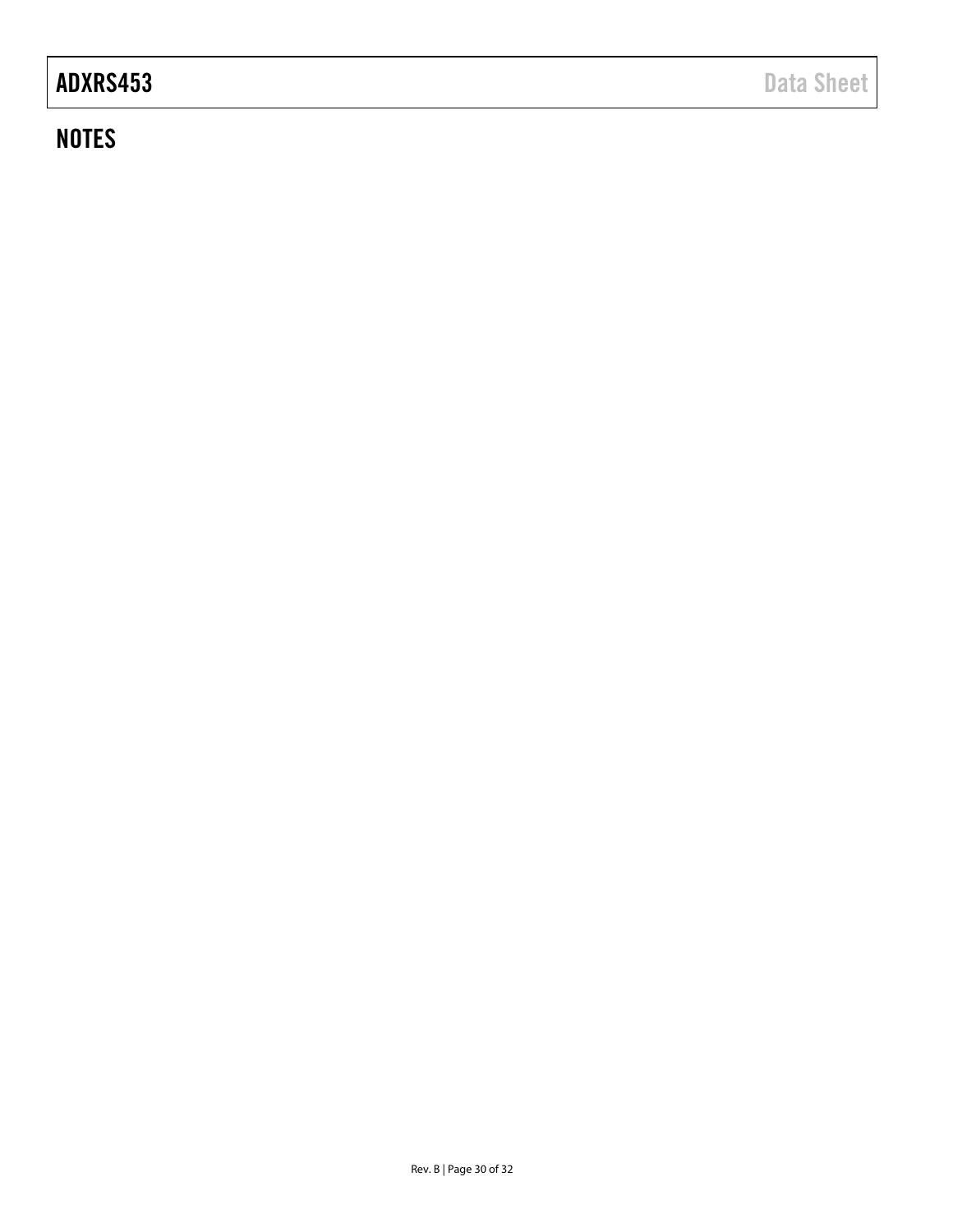## ADXRS453 Data Sheet

### **NOTES**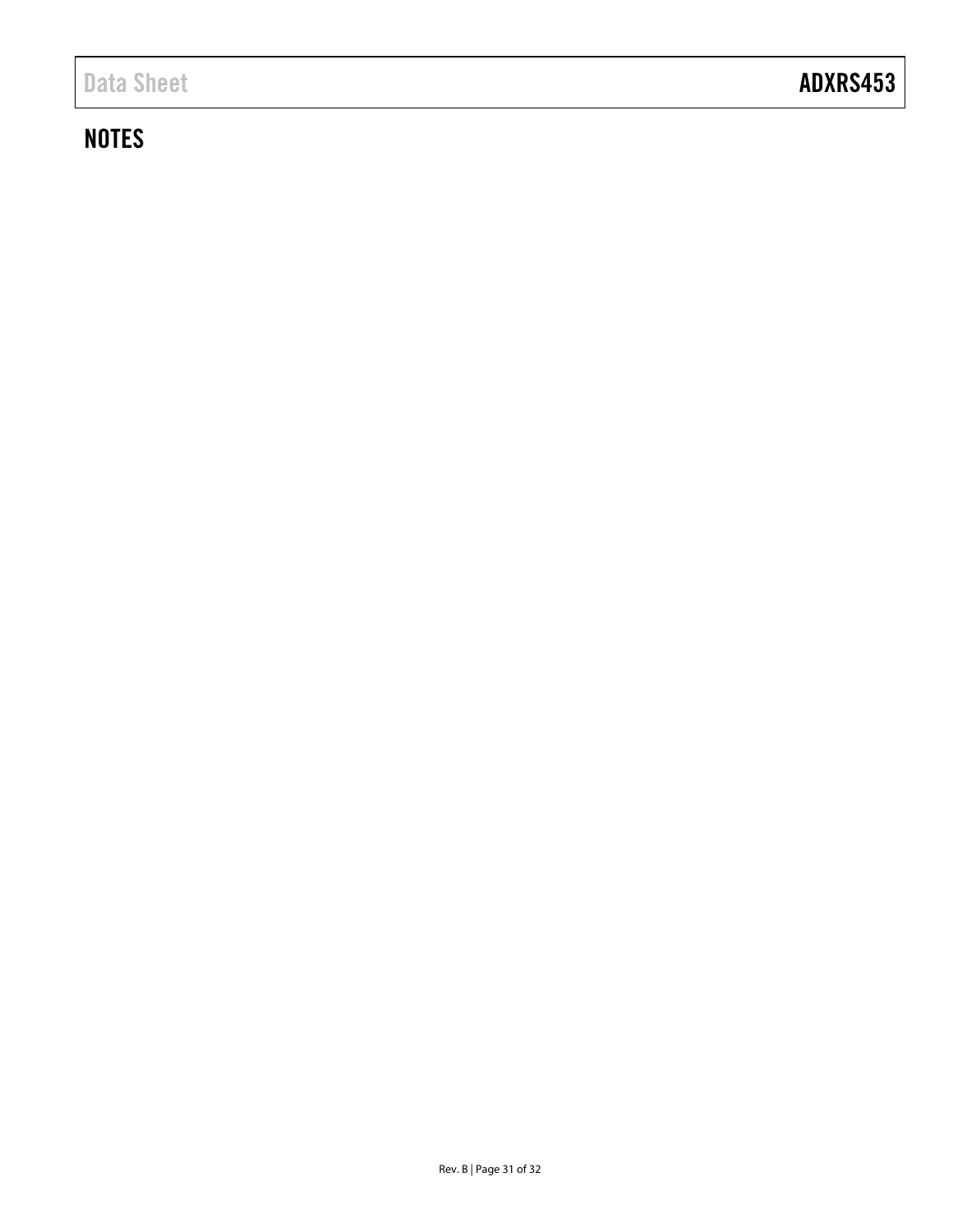### <span id="page-30-0"></span>**NOTES**